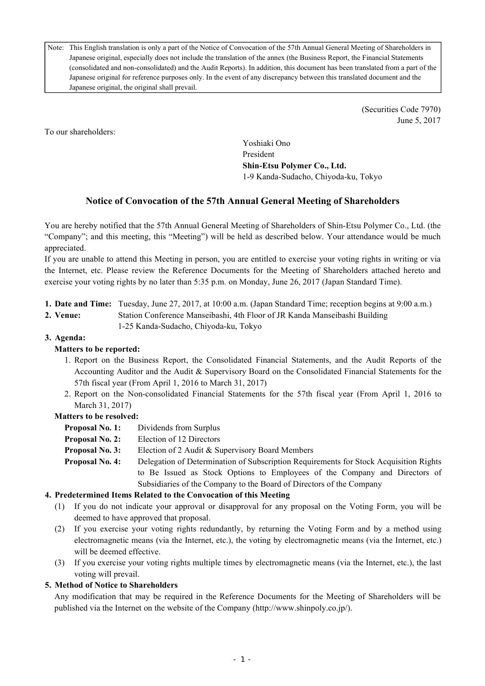Note: This English translation is only a part of the Notice of Convocation of the 57th Annual General Meeting of Shareholders in Japanese original, especially does not include the translation of the annex (the Business Report, the Financial Statements (consolidated and non-consolidated) and the Audit Reports). In addition, this document has been translated from a part of the Japanese original for reference purposes only. In the event of any discrepancy between this translated document and the Japanese original, the original shall prevail.

> (Securities Code 7970) June 5, 2017

To our shareholders:

Yoshiaki Ono President **Shin-Etsu Polymer Co., Ltd.** 1-9 Kanda-Sudacho, Chiyoda-ku, Tokyo

# **Notice of Convocation of the 57th Annual General Meeting of Shareholders**

You are hereby notified that the 57th Annual General Meeting of Shareholders of Shin-Etsu Polymer Co., Ltd. (the "Company"; and this meeting, this "Meeting") will be held as described below. Your attendance would be much appreciated.

If you are unable to attend this Meeting in person, you are entitled to exercise your voting rights in writing or via the Internet, etc. Please review the Reference Documents for the Meeting of Shareholders attached hereto and exercise your voting rights by no later than 5:35 p.m. on Monday, June 26, 2017 (Japan Standard Time).

- **1. Date and Time:** Tuesday, June 27, 2017, at 10:00 a.m. (Japan Standard Time; reception begins at 9:00 a.m.)
- **2. Venue:** Station Conference Manseibashi, 4th Floor of JR Kanda Manseibashi Building 1-25 Kanda-Sudacho, Chiyoda-ku, Tokyo

# **3. Agenda:**

# **Matters to be reported:**

- 1. Report on the Business Report, the Consolidated Financial Statements, and the Audit Reports of the Accounting Auditor and the Audit & Supervisory Board on the Consolidated Financial Statements for the 57th fiscal year (From April 1, 2016 to March 31, 2017)
- 2. Report on the Non-consolidated Financial Statements for the 57th fiscal year (From April 1, 2016 to March 31, 2017)

## **Matters to be resolved:**

- **Proposal No. 1:** Dividends from Surplus
- **Proposal No. 2:** Election of 12 Directors
- **Proposal No. 3:** Election of 2 Audit & Supervisory Board Members
- **Proposal No. 4:** Delegation of Determination of Subscription Requirements for Stock Acquisition Rights to Be Issued as Stock Options to Employees of the Company and Directors of Subsidiaries of the Company to the Board of Directors of the Company

## **4. Predetermined Items Related to the Convocation of this Meeting**

- (1) If you do not indicate your approval or disapproval for any proposal on the Voting Form, you will be deemed to have approved that proposal.
- (2) If you exercise your voting rights redundantly, by returning the Voting Form and by a method using electromagnetic means (via the Internet, etc.), the voting by electromagnetic means (via the Internet, etc.) will be deemed effective.
- (3) If you exercise your voting rights multiple times by electromagnetic means (via the Internet, etc.), the last voting will prevail.

## **5. Method of Notice to Shareholders**

Any modification that may be required in the Reference Documents for the Meeting of Shareholders will be published via the Internet on the website of the Company (http://www.shinpoly.co.jp/).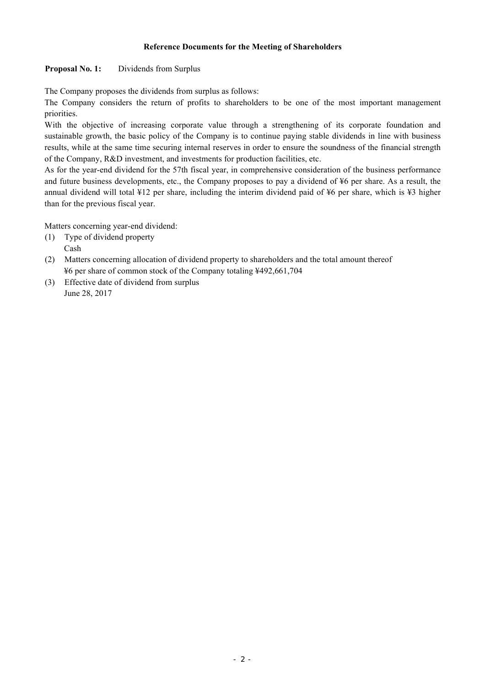#### **Reference Documents for the Meeting of Shareholders**

### **Proposal No. 1:** Dividends from Surplus

The Company proposes the dividends from surplus as follows:

The Company considers the return of profits to shareholders to be one of the most important management priorities.

With the objective of increasing corporate value through a strengthening of its corporate foundation and sustainable growth, the basic policy of the Company is to continue paying stable dividends in line with business results, while at the same time securing internal reserves in order to ensure the soundness of the financial strength of the Company, R&D investment, and investments for production facilities, etc.

As for the year-end dividend for the 57th fiscal year, in comprehensive consideration of the business performance and future business developments, etc., the Company proposes to pay a dividend of ¥6 per share. As a result, the annual dividend will total ¥12 per share, including the interim dividend paid of ¥6 per share, which is ¥3 higher than for the previous fiscal year.

Matters concerning year-end dividend:

- (1) Type of dividend property Cash
- (2) Matters concerning allocation of dividend property to shareholders and the total amount thereof ¥6 per share of common stock of the Company totaling ¥492,661,704
- (3) Effective date of dividend from surplus June 28, 2017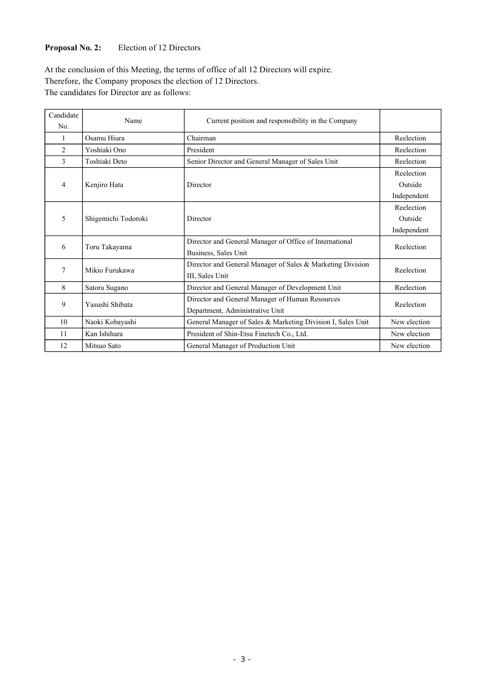## **Proposal No. 2:** Election of 12 Directors

At the conclusion of this Meeting, the terms of office of all 12 Directors will expire. Therefore, the Company proposes the election of 12 Directors. The candidates for Director are as follows:

| Candidate |                     |                                                             |              |  |
|-----------|---------------------|-------------------------------------------------------------|--------------|--|
| No.       | Name                | Current position and responsibility in the Company          |              |  |
| 1         | Osamu Hiura         | Chairman                                                    | Reelection   |  |
| 2         | Yoshiaki Ono        | President                                                   | Reelection   |  |
| 3         | Toshiaki Deto       | Senior Director and General Manager of Sales Unit           | Reelection   |  |
|           |                     |                                                             | Reelection   |  |
| 4         | Kenjiro Hata        | Director                                                    | Outside      |  |
|           |                     |                                                             | Independent  |  |
|           | Shigemichi Todoroki |                                                             | Reelection   |  |
| 5         |                     | Director                                                    | Outside      |  |
|           |                     |                                                             | Independent  |  |
| 6         | Toru Takayama       | Director and General Manager of Office of International     | Reelection   |  |
|           |                     | Business, Sales Unit                                        |              |  |
| 7         | Mikio Furukawa      | Director and General Manager of Sales & Marketing Division  | Reelection   |  |
|           |                     | III, Sales Unit                                             |              |  |
| 8         | Satoru Sugano       | Director and General Manager of Development Unit            | Reelection   |  |
| 9         | Yasushi Shibata     | Director and General Manager of Human Resources             | Reelection   |  |
|           |                     | Department, Administrative Unit                             |              |  |
| 10        | Naoki Kobayashi     | General Manager of Sales & Marketing Division I, Sales Unit | New election |  |
| 11        | Kan Ishihara        | President of Shin-Etsu Finetech Co., Ltd.                   | New election |  |
| 12        | Mitsuo Sato         | General Manager of Production Unit                          | New election |  |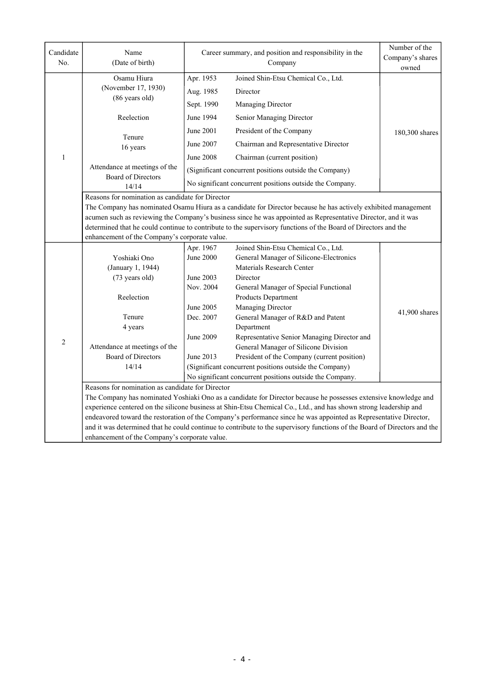| Candidate      | Name                                                                                                                                                                                                                                           | Career summary, and position and responsibility in the | Number of the                                                                                                     |                |  |  |  |
|----------------|------------------------------------------------------------------------------------------------------------------------------------------------------------------------------------------------------------------------------------------------|--------------------------------------------------------|-------------------------------------------------------------------------------------------------------------------|----------------|--|--|--|
| No.            | (Date of birth)                                                                                                                                                                                                                                |                                                        | Company's shares                                                                                                  |                |  |  |  |
|                |                                                                                                                                                                                                                                                |                                                        | Company                                                                                                           | owned          |  |  |  |
|                | Osamu Hiura                                                                                                                                                                                                                                    | Apr. 1953                                              | Joined Shin-Etsu Chemical Co., Ltd.                                                                               |                |  |  |  |
|                | (November 17, 1930)<br>(86 years old)                                                                                                                                                                                                          | Aug. 1985                                              | Director                                                                                                          |                |  |  |  |
|                |                                                                                                                                                                                                                                                | Sept. 1990                                             | Managing Director                                                                                                 |                |  |  |  |
|                | Reelection                                                                                                                                                                                                                                     | June 1994                                              | Senior Managing Director                                                                                          |                |  |  |  |
|                | Tenure                                                                                                                                                                                                                                         | June 2001                                              | President of the Company                                                                                          | 180,300 shares |  |  |  |
|                | 16 years                                                                                                                                                                                                                                       | June 2007                                              | Chairman and Representative Director                                                                              |                |  |  |  |
| $\mathbf{1}$   |                                                                                                                                                                                                                                                | June 2008                                              | Chairman (current position)                                                                                       |                |  |  |  |
|                | Attendance at meetings of the<br><b>Board of Directors</b>                                                                                                                                                                                     |                                                        | (Significant concurrent positions outside the Company)                                                            |                |  |  |  |
|                | 14/14                                                                                                                                                                                                                                          |                                                        | No significant concurrent positions outside the Company.                                                          |                |  |  |  |
|                | Reasons for nomination as candidate for Director                                                                                                                                                                                               |                                                        |                                                                                                                   |                |  |  |  |
|                | The Company has nominated Osamu Hiura as a candidate for Director because he has actively exhibited management                                                                                                                                 |                                                        |                                                                                                                   |                |  |  |  |
|                | acumen such as reviewing the Company's business since he was appointed as Representative Director, and it was                                                                                                                                  |                                                        |                                                                                                                   |                |  |  |  |
|                | determined that he could continue to contribute to the supervisory functions of the Board of Directors and the                                                                                                                                 |                                                        |                                                                                                                   |                |  |  |  |
|                | enhancement of the Company's corporate value.                                                                                                                                                                                                  |                                                        |                                                                                                                   |                |  |  |  |
|                |                                                                                                                                                                                                                                                | Apr. 1967                                              | Joined Shin-Etsu Chemical Co., Ltd.                                                                               |                |  |  |  |
|                | Yoshiaki Ono                                                                                                                                                                                                                                   | June 2000                                              | General Manager of Silicone-Electronics                                                                           |                |  |  |  |
|                | (January 1, 1944)                                                                                                                                                                                                                              |                                                        | Materials Research Center                                                                                         |                |  |  |  |
|                | (73 years old)                                                                                                                                                                                                                                 | June 2003                                              | Director                                                                                                          |                |  |  |  |
|                |                                                                                                                                                                                                                                                | Nov. 2004                                              | General Manager of Special Functional                                                                             |                |  |  |  |
|                | Reelection                                                                                                                                                                                                                                     |                                                        | Products Department                                                                                               |                |  |  |  |
|                |                                                                                                                                                                                                                                                | June 2005                                              | Managing Director                                                                                                 | 41,900 shares  |  |  |  |
|                | Tenure<br>4 years                                                                                                                                                                                                                              | Dec. 2007                                              | General Manager of R&D and Patent                                                                                 |                |  |  |  |
|                |                                                                                                                                                                                                                                                | June 2009                                              | Department<br>Representative Senior Managing Director and                                                         |                |  |  |  |
| $\overline{2}$ | Attendance at meetings of the                                                                                                                                                                                                                  |                                                        | General Manager of Silicone Division                                                                              |                |  |  |  |
|                | <b>Board of Directors</b>                                                                                                                                                                                                                      | June 2013                                              | President of the Company (current position)                                                                       |                |  |  |  |
|                | 14/14                                                                                                                                                                                                                                          |                                                        | (Significant concurrent positions outside the Company)                                                            |                |  |  |  |
|                |                                                                                                                                                                                                                                                |                                                        | No significant concurrent positions outside the Company.                                                          |                |  |  |  |
|                | Reasons for nomination as candidate for Director                                                                                                                                                                                               |                                                        |                                                                                                                   |                |  |  |  |
|                |                                                                                                                                                                                                                                                |                                                        | The Company has nominated Yoshiaki Ono as a candidate for Director because he possesses extensive knowledge and   |                |  |  |  |
|                |                                                                                                                                                                                                                                                |                                                        | experience centered on the silicone business at Shin-Etsu Chemical Co., Ltd., and has shown strong leadership and |                |  |  |  |
|                |                                                                                                                                                                                                                                                |                                                        |                                                                                                                   |                |  |  |  |
|                | endeavored toward the restoration of the Company's performance since he was appointed as Representative Director,<br>and it was determined that he could continue to contribute to the supervisory functions of the Board of Directors and the |                                                        |                                                                                                                   |                |  |  |  |
|                | enhancement of the Company's corporate value.                                                                                                                                                                                                  |                                                        |                                                                                                                   |                |  |  |  |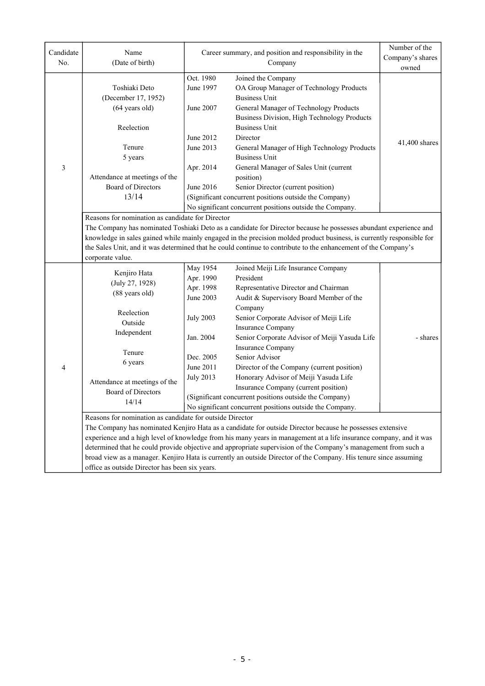| Candidate      | Name                                                                                                                                                      | Career summary, and position and responsibility in the                                  |                                                                                                                                                                                                                                                                                                                                                                                                                                                  | Number of the    |  |  |  |
|----------------|-----------------------------------------------------------------------------------------------------------------------------------------------------------|-----------------------------------------------------------------------------------------|--------------------------------------------------------------------------------------------------------------------------------------------------------------------------------------------------------------------------------------------------------------------------------------------------------------------------------------------------------------------------------------------------------------------------------------------------|------------------|--|--|--|
| No.            | (Date of birth)                                                                                                                                           | Company                                                                                 |                                                                                                                                                                                                                                                                                                                                                                                                                                                  | Company's shares |  |  |  |
|                |                                                                                                                                                           |                                                                                         |                                                                                                                                                                                                                                                                                                                                                                                                                                                  | owned            |  |  |  |
| $\mathfrak{Z}$ | Toshiaki Deto<br>(December 17, 1952)<br>(64 years old)<br>Reelection<br>Tenure<br>5 years<br>Attendance at meetings of the<br>Board of Directors<br>13/14 | Oct. 1980<br>June 1997<br>June 2007<br>June 2012<br>June 2013<br>Apr. 2014<br>June 2016 | Joined the Company<br>OA Group Manager of Technology Products<br><b>Business Unit</b><br>General Manager of Technology Products<br>Business Division, High Technology Products<br><b>Business Unit</b><br>Director<br>General Manager of High Technology Products<br><b>Business Unit</b><br>General Manager of Sales Unit (current<br>position)<br>Senior Director (current position)<br>(Significant concurrent positions outside the Company) | 41,400 shares    |  |  |  |
|                |                                                                                                                                                           |                                                                                         |                                                                                                                                                                                                                                                                                                                                                                                                                                                  |                  |  |  |  |
|                | No significant concurrent positions outside the Company.                                                                                                  |                                                                                         |                                                                                                                                                                                                                                                                                                                                                                                                                                                  |                  |  |  |  |
|                | Reasons for nomination as candidate for Director                                                                                                          |                                                                                         |                                                                                                                                                                                                                                                                                                                                                                                                                                                  |                  |  |  |  |
|                | The Company has nominated Toshiaki Deto as a candidate for Director because he possesses abundant experience and                                          |                                                                                         |                                                                                                                                                                                                                                                                                                                                                                                                                                                  |                  |  |  |  |
|                | knowledge in sales gained while mainly engaged in the precision molded product business, is currently responsible for                                     |                                                                                         |                                                                                                                                                                                                                                                                                                                                                                                                                                                  |                  |  |  |  |
|                | the Sales Unit, and it was determined that he could continue to contribute to the enhancement of the Company's                                            |                                                                                         |                                                                                                                                                                                                                                                                                                                                                                                                                                                  |                  |  |  |  |
|                | corporate value.                                                                                                                                          |                                                                                         |                                                                                                                                                                                                                                                                                                                                                                                                                                                  |                  |  |  |  |
|                | Kenjiro Hata                                                                                                                                              | May 1954                                                                                | Joined Meiji Life Insurance Company                                                                                                                                                                                                                                                                                                                                                                                                              |                  |  |  |  |
|                | (July 27, 1928)                                                                                                                                           | Apr. 1990                                                                               | President                                                                                                                                                                                                                                                                                                                                                                                                                                        |                  |  |  |  |
|                | (88 years old)                                                                                                                                            | Apr. 1998                                                                               | Representative Director and Chairman                                                                                                                                                                                                                                                                                                                                                                                                             |                  |  |  |  |
|                |                                                                                                                                                           | June 2003                                                                               | Audit & Supervisory Board Member of the                                                                                                                                                                                                                                                                                                                                                                                                          |                  |  |  |  |
|                | Reelection                                                                                                                                                |                                                                                         | Company                                                                                                                                                                                                                                                                                                                                                                                                                                          |                  |  |  |  |
|                | Outside                                                                                                                                                   | <b>July 2003</b>                                                                        | Senior Corporate Advisor of Meiji Life                                                                                                                                                                                                                                                                                                                                                                                                           |                  |  |  |  |
|                | Independent                                                                                                                                               |                                                                                         | <b>Insurance Company</b>                                                                                                                                                                                                                                                                                                                                                                                                                         |                  |  |  |  |
|                |                                                                                                                                                           | Jan. 2004                                                                               | Senior Corporate Advisor of Meiji Yasuda Life                                                                                                                                                                                                                                                                                                                                                                                                    | - shares         |  |  |  |
|                | Tenure                                                                                                                                                    |                                                                                         | Insurance Company                                                                                                                                                                                                                                                                                                                                                                                                                                |                  |  |  |  |
|                | 6 years                                                                                                                                                   | Dec. 2005                                                                               | Senior Advisor                                                                                                                                                                                                                                                                                                                                                                                                                                   |                  |  |  |  |
| $\overline{4}$ |                                                                                                                                                           | June 2011                                                                               | Director of the Company (current position)                                                                                                                                                                                                                                                                                                                                                                                                       |                  |  |  |  |
|                | Attendance at meetings of the                                                                                                                             | <b>July 2013</b>                                                                        | Honorary Advisor of Meiji Yasuda Life                                                                                                                                                                                                                                                                                                                                                                                                            |                  |  |  |  |
|                | Board of Directors                                                                                                                                        |                                                                                         | Insurance Company (current position)                                                                                                                                                                                                                                                                                                                                                                                                             |                  |  |  |  |
|                | 14/14                                                                                                                                                     |                                                                                         | (Significant concurrent positions outside the Company)                                                                                                                                                                                                                                                                                                                                                                                           |                  |  |  |  |
|                |                                                                                                                                                           |                                                                                         | No significant concurrent positions outside the Company.                                                                                                                                                                                                                                                                                                                                                                                         |                  |  |  |  |
|                | Reasons for nomination as candidate for outside Director                                                                                                  |                                                                                         |                                                                                                                                                                                                                                                                                                                                                                                                                                                  |                  |  |  |  |
|                |                                                                                                                                                           |                                                                                         | The Company has nominated Kenjiro Hata as a candidate for outside Director because he possesses extensive                                                                                                                                                                                                                                                                                                                                        |                  |  |  |  |
|                |                                                                                                                                                           |                                                                                         | experience and a high level of knowledge from his many years in management at a life insurance company, and it was                                                                                                                                                                                                                                                                                                                               |                  |  |  |  |
|                |                                                                                                                                                           |                                                                                         | determined that he could provide objective and appropriate supervision of the Company's management from such a                                                                                                                                                                                                                                                                                                                                   |                  |  |  |  |
|                |                                                                                                                                                           |                                                                                         | broad view as a manager. Kenjiro Hata is currently an outside Director of the Company. His tenure since assuming                                                                                                                                                                                                                                                                                                                                 |                  |  |  |  |
|                | office as outside Director has been six years.                                                                                                            |                                                                                         |                                                                                                                                                                                                                                                                                                                                                                                                                                                  |                  |  |  |  |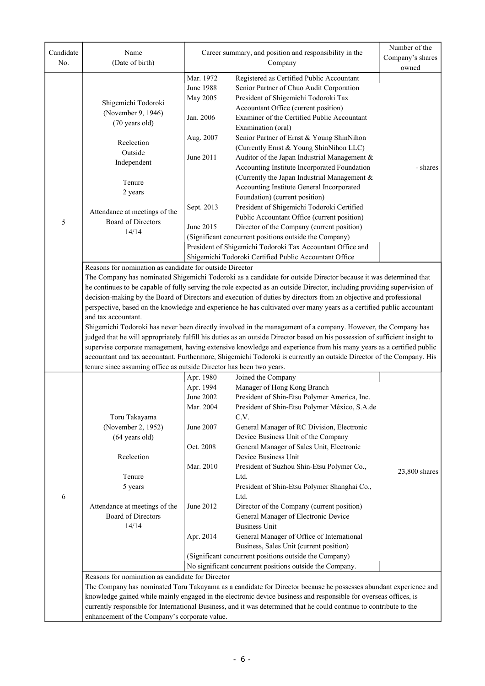| Candidate<br>No. | Name<br>(Date of birth)                                                                                                                                                                                                                       | Career summary, and position and responsibility in the<br>Company |                                                                                                                     | Number of the<br>Company's shares<br>owned |  |  |  |
|------------------|-----------------------------------------------------------------------------------------------------------------------------------------------------------------------------------------------------------------------------------------------|-------------------------------------------------------------------|---------------------------------------------------------------------------------------------------------------------|--------------------------------------------|--|--|--|
|                  |                                                                                                                                                                                                                                               | Mar. 1972                                                         | Registered as Certified Public Accountant                                                                           |                                            |  |  |  |
|                  |                                                                                                                                                                                                                                               | <b>June 1988</b>                                                  | Senior Partner of Chuo Audit Corporation                                                                            |                                            |  |  |  |
|                  | Shigemichi Todoroki                                                                                                                                                                                                                           | May 2005                                                          | President of Shigemichi Todoroki Tax                                                                                |                                            |  |  |  |
|                  | (November 9, 1946)                                                                                                                                                                                                                            |                                                                   | Accountant Office (current position)                                                                                |                                            |  |  |  |
|                  | (70 years old)                                                                                                                                                                                                                                | Jan. 2006                                                         | Examiner of the Certified Public Accountant                                                                         |                                            |  |  |  |
|                  |                                                                                                                                                                                                                                               |                                                                   | Examination (oral)                                                                                                  |                                            |  |  |  |
|                  | Reelection                                                                                                                                                                                                                                    | Aug. 2007                                                         | Senior Partner of Ernst & Young ShinNihon                                                                           |                                            |  |  |  |
|                  | Outside                                                                                                                                                                                                                                       |                                                                   | (Currently Ernst & Young ShinNihon LLC)                                                                             |                                            |  |  |  |
|                  | Independent                                                                                                                                                                                                                                   | June 2011                                                         | Auditor of the Japan Industrial Management &                                                                        |                                            |  |  |  |
|                  |                                                                                                                                                                                                                                               |                                                                   | Accounting Institute Incorporated Foundation                                                                        | - shares                                   |  |  |  |
|                  | Tenure                                                                                                                                                                                                                                        |                                                                   | (Currently the Japan Industrial Management &                                                                        |                                            |  |  |  |
|                  | 2 years                                                                                                                                                                                                                                       |                                                                   | Accounting Institute General Incorporated                                                                           |                                            |  |  |  |
|                  |                                                                                                                                                                                                                                               |                                                                   | Foundation) (current position)                                                                                      |                                            |  |  |  |
|                  | Attendance at meetings of the                                                                                                                                                                                                                 | Sept. 2013                                                        | President of Shigemichi Todoroki Certified                                                                          |                                            |  |  |  |
| 5                | Board of Directors                                                                                                                                                                                                                            | June 2015                                                         | Public Accountant Office (current position)                                                                         |                                            |  |  |  |
|                  | 14/14                                                                                                                                                                                                                                         |                                                                   | Director of the Company (current position)<br>(Significant concurrent positions outside the Company)                |                                            |  |  |  |
|                  |                                                                                                                                                                                                                                               |                                                                   | President of Shigemichi Todoroki Tax Accountant Office and                                                          |                                            |  |  |  |
|                  |                                                                                                                                                                                                                                               |                                                                   | Shigemichi Todoroki Certified Public Accountant Office                                                              |                                            |  |  |  |
|                  | Reasons for nomination as candidate for outside Director                                                                                                                                                                                      |                                                                   |                                                                                                                     |                                            |  |  |  |
|                  |                                                                                                                                                                                                                                               |                                                                   |                                                                                                                     |                                            |  |  |  |
|                  | The Company has nominated Shigemichi Todoroki as a candidate for outside Director because it was determined that                                                                                                                              |                                                                   |                                                                                                                     |                                            |  |  |  |
|                  | he continues to be capable of fully serving the role expected as an outside Director, including providing supervision of<br>decision-making by the Board of Directors and execution of duties by directors from an objective and professional |                                                                   |                                                                                                                     |                                            |  |  |  |
|                  | perspective, based on the knowledge and experience he has cultivated over many years as a certified public accountant                                                                                                                         |                                                                   |                                                                                                                     |                                            |  |  |  |
|                  | and tax accountant.                                                                                                                                                                                                                           |                                                                   |                                                                                                                     |                                            |  |  |  |
|                  | Shigemichi Todoroki has never been directly involved in the management of a company. However, the Company has                                                                                                                                 |                                                                   |                                                                                                                     |                                            |  |  |  |
|                  | judged that he will appropriately fulfill his duties as an outside Director based on his possession of sufficient insight to                                                                                                                  |                                                                   |                                                                                                                     |                                            |  |  |  |
|                  | supervise corporate management, having extensive knowledge and experience from his many years as a certified public                                                                                                                           |                                                                   |                                                                                                                     |                                            |  |  |  |
|                  | accountant and tax accountant. Furthermore, Shigemichi Todoroki is currently an outside Director of the Company. His                                                                                                                          |                                                                   |                                                                                                                     |                                            |  |  |  |
|                  | tenure since assuming office as outside Director has been two years.                                                                                                                                                                          |                                                                   |                                                                                                                     |                                            |  |  |  |
|                  |                                                                                                                                                                                                                                               | Apr. 1980                                                         | Joined the Company                                                                                                  |                                            |  |  |  |
|                  |                                                                                                                                                                                                                                               | Apr. 1994                                                         | Manager of Hong Kong Branch                                                                                         |                                            |  |  |  |
|                  |                                                                                                                                                                                                                                               | June 2002                                                         | President of Shin-Etsu Polymer America, Inc.                                                                        |                                            |  |  |  |
|                  |                                                                                                                                                                                                                                               | Mar. 2004                                                         | President of Shin-Etsu Polymer México, S.A.de                                                                       |                                            |  |  |  |
|                  | Toru Takayama                                                                                                                                                                                                                                 |                                                                   | C.V.                                                                                                                |                                            |  |  |  |
|                  | (November 2, 1952)                                                                                                                                                                                                                            | June 2007                                                         | General Manager of RC Division, Electronic                                                                          |                                            |  |  |  |
|                  | $(64 \text{ years old})$                                                                                                                                                                                                                      |                                                                   | Device Business Unit of the Company                                                                                 |                                            |  |  |  |
|                  |                                                                                                                                                                                                                                               | Oct. 2008                                                         | General Manager of Sales Unit, Electronic                                                                           |                                            |  |  |  |
|                  | Reelection                                                                                                                                                                                                                                    | Mar. 2010                                                         | Device Business Unit                                                                                                |                                            |  |  |  |
|                  | Tenure                                                                                                                                                                                                                                        |                                                                   | President of Suzhou Shin-Etsu Polymer Co.,                                                                          | 23,800 shares                              |  |  |  |
|                  | 5 years                                                                                                                                                                                                                                       |                                                                   | Ltd.<br>President of Shin-Etsu Polymer Shanghai Co.,                                                                |                                            |  |  |  |
| 6                |                                                                                                                                                                                                                                               |                                                                   | Ltd.                                                                                                                |                                            |  |  |  |
|                  | Attendance at meetings of the                                                                                                                                                                                                                 | June 2012                                                         | Director of the Company (current position)                                                                          |                                            |  |  |  |
|                  | Board of Directors                                                                                                                                                                                                                            |                                                                   | General Manager of Electronic Device                                                                                |                                            |  |  |  |
|                  | 14/14                                                                                                                                                                                                                                         |                                                                   | <b>Business Unit</b>                                                                                                |                                            |  |  |  |
|                  |                                                                                                                                                                                                                                               | Apr. 2014                                                         | General Manager of Office of International                                                                          |                                            |  |  |  |
|                  |                                                                                                                                                                                                                                               |                                                                   | Business, Sales Unit (current position)                                                                             |                                            |  |  |  |
|                  |                                                                                                                                                                                                                                               |                                                                   | (Significant concurrent positions outside the Company)                                                              |                                            |  |  |  |
|                  |                                                                                                                                                                                                                                               |                                                                   | No significant concurrent positions outside the Company.                                                            |                                            |  |  |  |
|                  | Reasons for nomination as candidate for Director                                                                                                                                                                                              |                                                                   |                                                                                                                     |                                            |  |  |  |
|                  |                                                                                                                                                                                                                                               |                                                                   | The Company has nominated Toru Takayama as a candidate for Director because he possesses abundant experience and    |                                            |  |  |  |
|                  |                                                                                                                                                                                                                                               |                                                                   | knowledge gained while mainly engaged in the electronic device business and responsible for overseas offices, is    |                                            |  |  |  |
|                  |                                                                                                                                                                                                                                               |                                                                   | currently responsible for International Business, and it was determined that he could continue to contribute to the |                                            |  |  |  |
|                  | enhancement of the Company's corporate value.                                                                                                                                                                                                 |                                                                   |                                                                                                                     |                                            |  |  |  |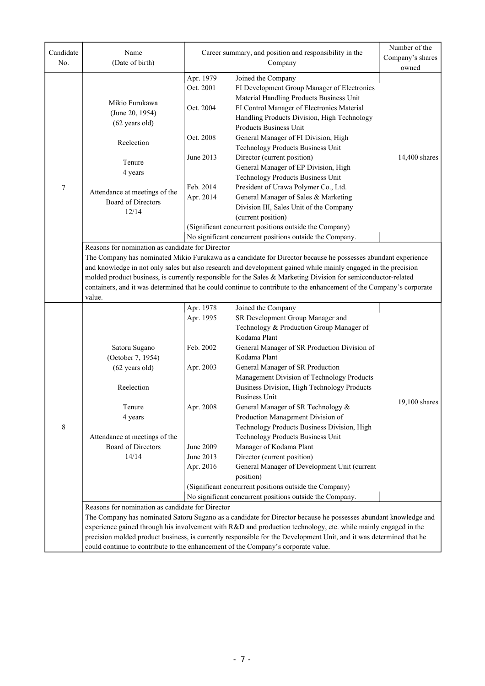| Candidate | Name                                                                                                                                                                                                                                                                                                                                                                                                                                                                                                                                    | Career summary, and position and responsibility in the                                                                                                                                                       | Number of the                                                                                                                                                                                                                                                                                                                                                                                                                                                                                                                                                                                                                                                                                                                                           |                           |  |  |  |
|-----------|-----------------------------------------------------------------------------------------------------------------------------------------------------------------------------------------------------------------------------------------------------------------------------------------------------------------------------------------------------------------------------------------------------------------------------------------------------------------------------------------------------------------------------------------|--------------------------------------------------------------------------------------------------------------------------------------------------------------------------------------------------------------|---------------------------------------------------------------------------------------------------------------------------------------------------------------------------------------------------------------------------------------------------------------------------------------------------------------------------------------------------------------------------------------------------------------------------------------------------------------------------------------------------------------------------------------------------------------------------------------------------------------------------------------------------------------------------------------------------------------------------------------------------------|---------------------------|--|--|--|
| No.       | (Date of birth)                                                                                                                                                                                                                                                                                                                                                                                                                                                                                                                         |                                                                                                                                                                                                              | Company                                                                                                                                                                                                                                                                                                                                                                                                                                                                                                                                                                                                                                                                                                                                                 | Company's shares<br>owned |  |  |  |
|           |                                                                                                                                                                                                                                                                                                                                                                                                                                                                                                                                         | Apr. 1979                                                                                                                                                                                                    | Joined the Company                                                                                                                                                                                                                                                                                                                                                                                                                                                                                                                                                                                                                                                                                                                                      |                           |  |  |  |
|           | Mikio Furukawa<br>(June 20, 1954)<br>$(62 \text{ years old})$                                                                                                                                                                                                                                                                                                                                                                                                                                                                           | Oct. 2001<br>Oct. 2004                                                                                                                                                                                       | FI Development Group Manager of Electronics<br>Material Handling Products Business Unit<br>FI Control Manager of Electronics Material<br>Handling Products Division, High Technology<br>Products Business Unit                                                                                                                                                                                                                                                                                                                                                                                                                                                                                                                                          |                           |  |  |  |
|           | Reelection                                                                                                                                                                                                                                                                                                                                                                                                                                                                                                                              | Oct. 2008                                                                                                                                                                                                    | General Manager of FI Division, High<br>Technology Products Business Unit                                                                                                                                                                                                                                                                                                                                                                                                                                                                                                                                                                                                                                                                               |                           |  |  |  |
|           | Tenure<br>4 years                                                                                                                                                                                                                                                                                                                                                                                                                                                                                                                       | June 2013                                                                                                                                                                                                    | Director (current position)<br>General Manager of EP Division, High                                                                                                                                                                                                                                                                                                                                                                                                                                                                                                                                                                                                                                                                                     | 14,400 shares             |  |  |  |
| 7         | Attendance at meetings of the<br>Board of Directors<br>12/14                                                                                                                                                                                                                                                                                                                                                                                                                                                                            | Technology Products Business Unit<br>Feb. 2014<br>President of Urawa Polymer Co., Ltd.<br>Apr. 2014<br>General Manager of Sales & Marketing<br>Division III, Sales Unit of the Company<br>(current position) |                                                                                                                                                                                                                                                                                                                                                                                                                                                                                                                                                                                                                                                                                                                                                         |                           |  |  |  |
|           |                                                                                                                                                                                                                                                                                                                                                                                                                                                                                                                                         |                                                                                                                                                                                                              | (Significant concurrent positions outside the Company)                                                                                                                                                                                                                                                                                                                                                                                                                                                                                                                                                                                                                                                                                                  |                           |  |  |  |
|           |                                                                                                                                                                                                                                                                                                                                                                                                                                                                                                                                         |                                                                                                                                                                                                              | No significant concurrent positions outside the Company.                                                                                                                                                                                                                                                                                                                                                                                                                                                                                                                                                                                                                                                                                                |                           |  |  |  |
|           | Reasons for nomination as candidate for Director<br>The Company has nominated Mikio Furukawa as a candidate for Director because he possesses abundant experience<br>and knowledge in not only sales but also research and development gained while mainly engaged in the precision<br>molded product business, is currently responsible for the Sales & Marketing Division for semiconductor-related<br>containers, and it was determined that he could continue to contribute to the enhancement of the Company's corporate<br>value. |                                                                                                                                                                                                              |                                                                                                                                                                                                                                                                                                                                                                                                                                                                                                                                                                                                                                                                                                                                                         |                           |  |  |  |
| 8         | Satoru Sugano<br>(October 7, 1954)<br>$(62 \text{ years old})$<br>Reelection<br>Tenure<br>4 years<br>Attendance at meetings of the<br><b>Board of Directors</b><br>14/14                                                                                                                                                                                                                                                                                                                                                                | Apr. 1978<br>Apr. 1995<br>Feb. 2002<br>Apr. 2003<br>Apr. 2008<br>June 2009<br>June 2013<br>Apr. 2016                                                                                                         | Joined the Company<br>SR Development Group Manager and<br>Technology & Production Group Manager of<br>Kodama Plant<br>General Manager of SR Production Division of<br>Kodama Plant<br>General Manager of SR Production<br>Management Division of Technology Products<br>Business Division, High Technology Products<br><b>Business Unit</b><br>General Manager of SR Technology &<br>Production Management Division of<br>Technology Products Business Division, High<br>Technology Products Business Unit<br>Manager of Kodama Plant<br>Director (current position)<br>General Manager of Development Unit (current<br>position)<br>(Significant concurrent positions outside the Company)<br>No significant concurrent positions outside the Company. | $19,100$ shares           |  |  |  |
|           | Reasons for nomination as candidate for Director<br>The Company has nominated Satoru Sugano as a candidate for Director because he possesses abundant knowledge and<br>experience gained through his involvement with R&D and production technology, etc. while mainly engaged in the<br>precision molded product business, is currently responsible for the Development Unit, and it was determined that he                                                                                                                            |                                                                                                                                                                                                              |                                                                                                                                                                                                                                                                                                                                                                                                                                                                                                                                                                                                                                                                                                                                                         |                           |  |  |  |
|           | could continue to contribute to the enhancement of the Company's corporate value.                                                                                                                                                                                                                                                                                                                                                                                                                                                       |                                                                                                                                                                                                              |                                                                                                                                                                                                                                                                                                                                                                                                                                                                                                                                                                                                                                                                                                                                                         |                           |  |  |  |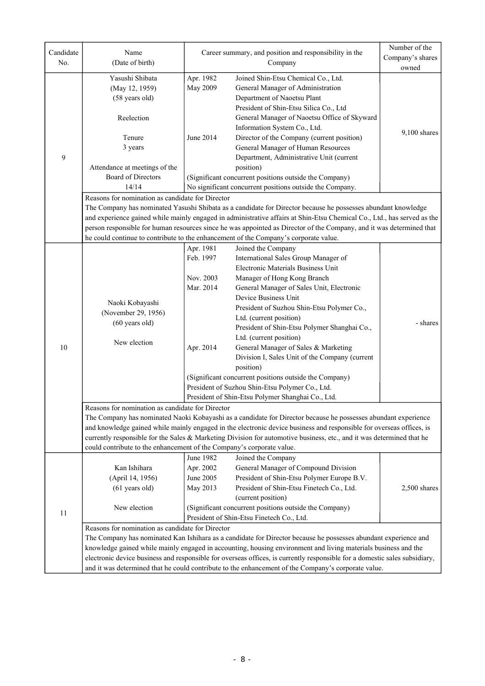| Company's shares<br>No.<br>(Date of birth)<br>Company<br>owned<br>Apr. 1982<br>Yasushi Shibata<br>Joined Shin-Etsu Chemical Co., Ltd.<br>May 2009<br>General Manager of Administration<br>(May 12, 1959)<br>(58 years old)<br>Department of Naoetsu Plant<br>President of Shin-Etsu Silica Co., Ltd<br>Reelection<br>General Manager of Naoetsu Office of Skyward<br>Information System Co., Ltd.<br>$9,100$ shares<br>Tenure<br>June 2014<br>Director of the Company (current position)<br>General Manager of Human Resources<br>3 years<br>9<br>Department, Administrative Unit (current<br>position)<br>Attendance at meetings of the<br>Board of Directors<br>(Significant concurrent positions outside the Company)<br>14/14<br>No significant concurrent positions outside the Company.<br>Reasons for nomination as candidate for Director<br>The Company has nominated Yasushi Shibata as a candidate for Director because he possesses abundant knowledge<br>and experience gained while mainly engaged in administrative affairs at Shin-Etsu Chemical Co., Ltd., has served as the<br>person responsible for human resources since he was appointed as Director of the Company, and it was determined that<br>he could continue to contribute to the enhancement of the Company's corporate value.<br>Apr. 1981<br>Joined the Company<br>Feb. 1997<br>International Sales Group Manager of<br>Electronic Materials Business Unit<br>Nov. 2003<br>Manager of Hong Kong Branch<br>Mar. 2014<br>General Manager of Sales Unit, Electronic<br>Device Business Unit<br>Naoki Kobayashi<br>President of Suzhou Shin-Etsu Polymer Co.,<br>(November 29, 1956)<br>Ltd. (current position)<br>$(60 \text{ years old})$<br>- shares<br>President of Shin-Etsu Polymer Shanghai Co.,<br>Ltd. (current position)<br>New election<br>Apr. 2014<br>General Manager of Sales & Marketing<br>10<br>Division I, Sales Unit of the Company (current<br>position)<br>(Significant concurrent positions outside the Company)<br>President of Suzhou Shin-Etsu Polymer Co., Ltd.<br>President of Shin-Etsu Polymer Shanghai Co., Ltd.<br>Reasons for nomination as candidate for Director<br>The Company has nominated Naoki Kobayashi as a candidate for Director because he possesses abundant experience<br>and knowledge gained while mainly engaged in the electronic device business and responsible for overseas offices, is<br>currently responsible for the Sales & Marketing Division for automotive business, etc., and it was determined that he<br>could contribute to the enhancement of the Company's corporate value.<br>June 1982<br>Joined the Company<br>General Manager of Compound Division<br>Kan Ishihara<br>Apr. 2002<br>June 2005<br>President of Shin-Etsu Polymer Europe B.V.<br>(April 14, 1956)<br>President of Shin-Etsu Finetech Co., Ltd.<br>May 2013<br>2,500 shares<br>$(61$ years old)<br>(current position)<br>(Significant concurrent positions outside the Company)<br>New election<br>11<br>President of Shin-Etsu Finetech Co., Ltd.<br>Reasons for nomination as candidate for Director<br>The Company has nominated Kan Ishihara as a candidate for Director because he possesses abundant experience and<br>knowledge gained while mainly engaged in accounting, housing environment and living materials business and the<br>electronic device business and responsible for overseas offices, is currently responsible for a domestic sales subsidiary,<br>and it was determined that he could contribute to the enhancement of the Company's corporate value. | Candidate | Name | Career summary, and position and responsibility in the |  | Number of the |  |  |
|--------------------------------------------------------------------------------------------------------------------------------------------------------------------------------------------------------------------------------------------------------------------------------------------------------------------------------------------------------------------------------------------------------------------------------------------------------------------------------------------------------------------------------------------------------------------------------------------------------------------------------------------------------------------------------------------------------------------------------------------------------------------------------------------------------------------------------------------------------------------------------------------------------------------------------------------------------------------------------------------------------------------------------------------------------------------------------------------------------------------------------------------------------------------------------------------------------------------------------------------------------------------------------------------------------------------------------------------------------------------------------------------------------------------------------------------------------------------------------------------------------------------------------------------------------------------------------------------------------------------------------------------------------------------------------------------------------------------------------------------------------------------------------------------------------------------------------------------------------------------------------------------------------------------------------------------------------------------------------------------------------------------------------------------------------------------------------------------------------------------------------------------------------------------------------------------------------------------------------------------------------------------------------------------------------------------------------------------------------------------------------------------------------------------------------------------------------------------------------------------------------------------------------------------------------------------------------------------------------------------------------------------------------------------------------------------------------------------------------------------------------------------------------------------------------------------------------------------------------------------------------------------------------------------------------------------------------------------------------------------------------------------------------------------------------------------------------------------------------------------------------------------------------------------------------------------------------------------------------------------------------------------------------------------------------------------------------------------------------------------------------------------------------------------------------------------------------------------------------------------------------------------------------------------------------------------------------------------------|-----------|------|--------------------------------------------------------|--|---------------|--|--|
|                                                                                                                                                                                                                                                                                                                                                                                                                                                                                                                                                                                                                                                                                                                                                                                                                                                                                                                                                                                                                                                                                                                                                                                                                                                                                                                                                                                                                                                                                                                                                                                                                                                                                                                                                                                                                                                                                                                                                                                                                                                                                                                                                                                                                                                                                                                                                                                                                                                                                                                                                                                                                                                                                                                                                                                                                                                                                                                                                                                                                                                                                                                                                                                                                                                                                                                                                                                                                                                                                                                                                                                                  |           |      |                                                        |  |               |  |  |
|                                                                                                                                                                                                                                                                                                                                                                                                                                                                                                                                                                                                                                                                                                                                                                                                                                                                                                                                                                                                                                                                                                                                                                                                                                                                                                                                                                                                                                                                                                                                                                                                                                                                                                                                                                                                                                                                                                                                                                                                                                                                                                                                                                                                                                                                                                                                                                                                                                                                                                                                                                                                                                                                                                                                                                                                                                                                                                                                                                                                                                                                                                                                                                                                                                                                                                                                                                                                                                                                                                                                                                                                  |           |      |                                                        |  |               |  |  |
|                                                                                                                                                                                                                                                                                                                                                                                                                                                                                                                                                                                                                                                                                                                                                                                                                                                                                                                                                                                                                                                                                                                                                                                                                                                                                                                                                                                                                                                                                                                                                                                                                                                                                                                                                                                                                                                                                                                                                                                                                                                                                                                                                                                                                                                                                                                                                                                                                                                                                                                                                                                                                                                                                                                                                                                                                                                                                                                                                                                                                                                                                                                                                                                                                                                                                                                                                                                                                                                                                                                                                                                                  |           |      |                                                        |  |               |  |  |
|                                                                                                                                                                                                                                                                                                                                                                                                                                                                                                                                                                                                                                                                                                                                                                                                                                                                                                                                                                                                                                                                                                                                                                                                                                                                                                                                                                                                                                                                                                                                                                                                                                                                                                                                                                                                                                                                                                                                                                                                                                                                                                                                                                                                                                                                                                                                                                                                                                                                                                                                                                                                                                                                                                                                                                                                                                                                                                                                                                                                                                                                                                                                                                                                                                                                                                                                                                                                                                                                                                                                                                                                  |           |      |                                                        |  |               |  |  |
|                                                                                                                                                                                                                                                                                                                                                                                                                                                                                                                                                                                                                                                                                                                                                                                                                                                                                                                                                                                                                                                                                                                                                                                                                                                                                                                                                                                                                                                                                                                                                                                                                                                                                                                                                                                                                                                                                                                                                                                                                                                                                                                                                                                                                                                                                                                                                                                                                                                                                                                                                                                                                                                                                                                                                                                                                                                                                                                                                                                                                                                                                                                                                                                                                                                                                                                                                                                                                                                                                                                                                                                                  |           |      |                                                        |  |               |  |  |
|                                                                                                                                                                                                                                                                                                                                                                                                                                                                                                                                                                                                                                                                                                                                                                                                                                                                                                                                                                                                                                                                                                                                                                                                                                                                                                                                                                                                                                                                                                                                                                                                                                                                                                                                                                                                                                                                                                                                                                                                                                                                                                                                                                                                                                                                                                                                                                                                                                                                                                                                                                                                                                                                                                                                                                                                                                                                                                                                                                                                                                                                                                                                                                                                                                                                                                                                                                                                                                                                                                                                                                                                  |           |      |                                                        |  |               |  |  |
|                                                                                                                                                                                                                                                                                                                                                                                                                                                                                                                                                                                                                                                                                                                                                                                                                                                                                                                                                                                                                                                                                                                                                                                                                                                                                                                                                                                                                                                                                                                                                                                                                                                                                                                                                                                                                                                                                                                                                                                                                                                                                                                                                                                                                                                                                                                                                                                                                                                                                                                                                                                                                                                                                                                                                                                                                                                                                                                                                                                                                                                                                                                                                                                                                                                                                                                                                                                                                                                                                                                                                                                                  |           |      |                                                        |  |               |  |  |
|                                                                                                                                                                                                                                                                                                                                                                                                                                                                                                                                                                                                                                                                                                                                                                                                                                                                                                                                                                                                                                                                                                                                                                                                                                                                                                                                                                                                                                                                                                                                                                                                                                                                                                                                                                                                                                                                                                                                                                                                                                                                                                                                                                                                                                                                                                                                                                                                                                                                                                                                                                                                                                                                                                                                                                                                                                                                                                                                                                                                                                                                                                                                                                                                                                                                                                                                                                                                                                                                                                                                                                                                  |           |      |                                                        |  |               |  |  |
|                                                                                                                                                                                                                                                                                                                                                                                                                                                                                                                                                                                                                                                                                                                                                                                                                                                                                                                                                                                                                                                                                                                                                                                                                                                                                                                                                                                                                                                                                                                                                                                                                                                                                                                                                                                                                                                                                                                                                                                                                                                                                                                                                                                                                                                                                                                                                                                                                                                                                                                                                                                                                                                                                                                                                                                                                                                                                                                                                                                                                                                                                                                                                                                                                                                                                                                                                                                                                                                                                                                                                                                                  |           |      |                                                        |  |               |  |  |
|                                                                                                                                                                                                                                                                                                                                                                                                                                                                                                                                                                                                                                                                                                                                                                                                                                                                                                                                                                                                                                                                                                                                                                                                                                                                                                                                                                                                                                                                                                                                                                                                                                                                                                                                                                                                                                                                                                                                                                                                                                                                                                                                                                                                                                                                                                                                                                                                                                                                                                                                                                                                                                                                                                                                                                                                                                                                                                                                                                                                                                                                                                                                                                                                                                                                                                                                                                                                                                                                                                                                                                                                  |           |      |                                                        |  |               |  |  |
|                                                                                                                                                                                                                                                                                                                                                                                                                                                                                                                                                                                                                                                                                                                                                                                                                                                                                                                                                                                                                                                                                                                                                                                                                                                                                                                                                                                                                                                                                                                                                                                                                                                                                                                                                                                                                                                                                                                                                                                                                                                                                                                                                                                                                                                                                                                                                                                                                                                                                                                                                                                                                                                                                                                                                                                                                                                                                                                                                                                                                                                                                                                                                                                                                                                                                                                                                                                                                                                                                                                                                                                                  |           |      |                                                        |  |               |  |  |
|                                                                                                                                                                                                                                                                                                                                                                                                                                                                                                                                                                                                                                                                                                                                                                                                                                                                                                                                                                                                                                                                                                                                                                                                                                                                                                                                                                                                                                                                                                                                                                                                                                                                                                                                                                                                                                                                                                                                                                                                                                                                                                                                                                                                                                                                                                                                                                                                                                                                                                                                                                                                                                                                                                                                                                                                                                                                                                                                                                                                                                                                                                                                                                                                                                                                                                                                                                                                                                                                                                                                                                                                  |           |      |                                                        |  |               |  |  |
|                                                                                                                                                                                                                                                                                                                                                                                                                                                                                                                                                                                                                                                                                                                                                                                                                                                                                                                                                                                                                                                                                                                                                                                                                                                                                                                                                                                                                                                                                                                                                                                                                                                                                                                                                                                                                                                                                                                                                                                                                                                                                                                                                                                                                                                                                                                                                                                                                                                                                                                                                                                                                                                                                                                                                                                                                                                                                                                                                                                                                                                                                                                                                                                                                                                                                                                                                                                                                                                                                                                                                                                                  |           |      |                                                        |  |               |  |  |
|                                                                                                                                                                                                                                                                                                                                                                                                                                                                                                                                                                                                                                                                                                                                                                                                                                                                                                                                                                                                                                                                                                                                                                                                                                                                                                                                                                                                                                                                                                                                                                                                                                                                                                                                                                                                                                                                                                                                                                                                                                                                                                                                                                                                                                                                                                                                                                                                                                                                                                                                                                                                                                                                                                                                                                                                                                                                                                                                                                                                                                                                                                                                                                                                                                                                                                                                                                                                                                                                                                                                                                                                  |           |      |                                                        |  |               |  |  |
|                                                                                                                                                                                                                                                                                                                                                                                                                                                                                                                                                                                                                                                                                                                                                                                                                                                                                                                                                                                                                                                                                                                                                                                                                                                                                                                                                                                                                                                                                                                                                                                                                                                                                                                                                                                                                                                                                                                                                                                                                                                                                                                                                                                                                                                                                                                                                                                                                                                                                                                                                                                                                                                                                                                                                                                                                                                                                                                                                                                                                                                                                                                                                                                                                                                                                                                                                                                                                                                                                                                                                                                                  |           |      |                                                        |  |               |  |  |
|                                                                                                                                                                                                                                                                                                                                                                                                                                                                                                                                                                                                                                                                                                                                                                                                                                                                                                                                                                                                                                                                                                                                                                                                                                                                                                                                                                                                                                                                                                                                                                                                                                                                                                                                                                                                                                                                                                                                                                                                                                                                                                                                                                                                                                                                                                                                                                                                                                                                                                                                                                                                                                                                                                                                                                                                                                                                                                                                                                                                                                                                                                                                                                                                                                                                                                                                                                                                                                                                                                                                                                                                  |           |      |                                                        |  |               |  |  |
|                                                                                                                                                                                                                                                                                                                                                                                                                                                                                                                                                                                                                                                                                                                                                                                                                                                                                                                                                                                                                                                                                                                                                                                                                                                                                                                                                                                                                                                                                                                                                                                                                                                                                                                                                                                                                                                                                                                                                                                                                                                                                                                                                                                                                                                                                                                                                                                                                                                                                                                                                                                                                                                                                                                                                                                                                                                                                                                                                                                                                                                                                                                                                                                                                                                                                                                                                                                                                                                                                                                                                                                                  |           |      |                                                        |  |               |  |  |
|                                                                                                                                                                                                                                                                                                                                                                                                                                                                                                                                                                                                                                                                                                                                                                                                                                                                                                                                                                                                                                                                                                                                                                                                                                                                                                                                                                                                                                                                                                                                                                                                                                                                                                                                                                                                                                                                                                                                                                                                                                                                                                                                                                                                                                                                                                                                                                                                                                                                                                                                                                                                                                                                                                                                                                                                                                                                                                                                                                                                                                                                                                                                                                                                                                                                                                                                                                                                                                                                                                                                                                                                  |           |      |                                                        |  |               |  |  |
|                                                                                                                                                                                                                                                                                                                                                                                                                                                                                                                                                                                                                                                                                                                                                                                                                                                                                                                                                                                                                                                                                                                                                                                                                                                                                                                                                                                                                                                                                                                                                                                                                                                                                                                                                                                                                                                                                                                                                                                                                                                                                                                                                                                                                                                                                                                                                                                                                                                                                                                                                                                                                                                                                                                                                                                                                                                                                                                                                                                                                                                                                                                                                                                                                                                                                                                                                                                                                                                                                                                                                                                                  |           |      |                                                        |  |               |  |  |
|                                                                                                                                                                                                                                                                                                                                                                                                                                                                                                                                                                                                                                                                                                                                                                                                                                                                                                                                                                                                                                                                                                                                                                                                                                                                                                                                                                                                                                                                                                                                                                                                                                                                                                                                                                                                                                                                                                                                                                                                                                                                                                                                                                                                                                                                                                                                                                                                                                                                                                                                                                                                                                                                                                                                                                                                                                                                                                                                                                                                                                                                                                                                                                                                                                                                                                                                                                                                                                                                                                                                                                                                  |           |      |                                                        |  |               |  |  |
|                                                                                                                                                                                                                                                                                                                                                                                                                                                                                                                                                                                                                                                                                                                                                                                                                                                                                                                                                                                                                                                                                                                                                                                                                                                                                                                                                                                                                                                                                                                                                                                                                                                                                                                                                                                                                                                                                                                                                                                                                                                                                                                                                                                                                                                                                                                                                                                                                                                                                                                                                                                                                                                                                                                                                                                                                                                                                                                                                                                                                                                                                                                                                                                                                                                                                                                                                                                                                                                                                                                                                                                                  |           |      |                                                        |  |               |  |  |
|                                                                                                                                                                                                                                                                                                                                                                                                                                                                                                                                                                                                                                                                                                                                                                                                                                                                                                                                                                                                                                                                                                                                                                                                                                                                                                                                                                                                                                                                                                                                                                                                                                                                                                                                                                                                                                                                                                                                                                                                                                                                                                                                                                                                                                                                                                                                                                                                                                                                                                                                                                                                                                                                                                                                                                                                                                                                                                                                                                                                                                                                                                                                                                                                                                                                                                                                                                                                                                                                                                                                                                                                  |           |      |                                                        |  |               |  |  |
|                                                                                                                                                                                                                                                                                                                                                                                                                                                                                                                                                                                                                                                                                                                                                                                                                                                                                                                                                                                                                                                                                                                                                                                                                                                                                                                                                                                                                                                                                                                                                                                                                                                                                                                                                                                                                                                                                                                                                                                                                                                                                                                                                                                                                                                                                                                                                                                                                                                                                                                                                                                                                                                                                                                                                                                                                                                                                                                                                                                                                                                                                                                                                                                                                                                                                                                                                                                                                                                                                                                                                                                                  |           |      |                                                        |  |               |  |  |
|                                                                                                                                                                                                                                                                                                                                                                                                                                                                                                                                                                                                                                                                                                                                                                                                                                                                                                                                                                                                                                                                                                                                                                                                                                                                                                                                                                                                                                                                                                                                                                                                                                                                                                                                                                                                                                                                                                                                                                                                                                                                                                                                                                                                                                                                                                                                                                                                                                                                                                                                                                                                                                                                                                                                                                                                                                                                                                                                                                                                                                                                                                                                                                                                                                                                                                                                                                                                                                                                                                                                                                                                  |           |      |                                                        |  |               |  |  |
|                                                                                                                                                                                                                                                                                                                                                                                                                                                                                                                                                                                                                                                                                                                                                                                                                                                                                                                                                                                                                                                                                                                                                                                                                                                                                                                                                                                                                                                                                                                                                                                                                                                                                                                                                                                                                                                                                                                                                                                                                                                                                                                                                                                                                                                                                                                                                                                                                                                                                                                                                                                                                                                                                                                                                                                                                                                                                                                                                                                                                                                                                                                                                                                                                                                                                                                                                                                                                                                                                                                                                                                                  |           |      |                                                        |  |               |  |  |
|                                                                                                                                                                                                                                                                                                                                                                                                                                                                                                                                                                                                                                                                                                                                                                                                                                                                                                                                                                                                                                                                                                                                                                                                                                                                                                                                                                                                                                                                                                                                                                                                                                                                                                                                                                                                                                                                                                                                                                                                                                                                                                                                                                                                                                                                                                                                                                                                                                                                                                                                                                                                                                                                                                                                                                                                                                                                                                                                                                                                                                                                                                                                                                                                                                                                                                                                                                                                                                                                                                                                                                                                  |           |      |                                                        |  |               |  |  |
|                                                                                                                                                                                                                                                                                                                                                                                                                                                                                                                                                                                                                                                                                                                                                                                                                                                                                                                                                                                                                                                                                                                                                                                                                                                                                                                                                                                                                                                                                                                                                                                                                                                                                                                                                                                                                                                                                                                                                                                                                                                                                                                                                                                                                                                                                                                                                                                                                                                                                                                                                                                                                                                                                                                                                                                                                                                                                                                                                                                                                                                                                                                                                                                                                                                                                                                                                                                                                                                                                                                                                                                                  |           |      |                                                        |  |               |  |  |
|                                                                                                                                                                                                                                                                                                                                                                                                                                                                                                                                                                                                                                                                                                                                                                                                                                                                                                                                                                                                                                                                                                                                                                                                                                                                                                                                                                                                                                                                                                                                                                                                                                                                                                                                                                                                                                                                                                                                                                                                                                                                                                                                                                                                                                                                                                                                                                                                                                                                                                                                                                                                                                                                                                                                                                                                                                                                                                                                                                                                                                                                                                                                                                                                                                                                                                                                                                                                                                                                                                                                                                                                  |           |      |                                                        |  |               |  |  |
|                                                                                                                                                                                                                                                                                                                                                                                                                                                                                                                                                                                                                                                                                                                                                                                                                                                                                                                                                                                                                                                                                                                                                                                                                                                                                                                                                                                                                                                                                                                                                                                                                                                                                                                                                                                                                                                                                                                                                                                                                                                                                                                                                                                                                                                                                                                                                                                                                                                                                                                                                                                                                                                                                                                                                                                                                                                                                                                                                                                                                                                                                                                                                                                                                                                                                                                                                                                                                                                                                                                                                                                                  |           |      |                                                        |  |               |  |  |
|                                                                                                                                                                                                                                                                                                                                                                                                                                                                                                                                                                                                                                                                                                                                                                                                                                                                                                                                                                                                                                                                                                                                                                                                                                                                                                                                                                                                                                                                                                                                                                                                                                                                                                                                                                                                                                                                                                                                                                                                                                                                                                                                                                                                                                                                                                                                                                                                                                                                                                                                                                                                                                                                                                                                                                                                                                                                                                                                                                                                                                                                                                                                                                                                                                                                                                                                                                                                                                                                                                                                                                                                  |           |      |                                                        |  |               |  |  |
|                                                                                                                                                                                                                                                                                                                                                                                                                                                                                                                                                                                                                                                                                                                                                                                                                                                                                                                                                                                                                                                                                                                                                                                                                                                                                                                                                                                                                                                                                                                                                                                                                                                                                                                                                                                                                                                                                                                                                                                                                                                                                                                                                                                                                                                                                                                                                                                                                                                                                                                                                                                                                                                                                                                                                                                                                                                                                                                                                                                                                                                                                                                                                                                                                                                                                                                                                                                                                                                                                                                                                                                                  |           |      |                                                        |  |               |  |  |
|                                                                                                                                                                                                                                                                                                                                                                                                                                                                                                                                                                                                                                                                                                                                                                                                                                                                                                                                                                                                                                                                                                                                                                                                                                                                                                                                                                                                                                                                                                                                                                                                                                                                                                                                                                                                                                                                                                                                                                                                                                                                                                                                                                                                                                                                                                                                                                                                                                                                                                                                                                                                                                                                                                                                                                                                                                                                                                                                                                                                                                                                                                                                                                                                                                                                                                                                                                                                                                                                                                                                                                                                  |           |      |                                                        |  |               |  |  |
|                                                                                                                                                                                                                                                                                                                                                                                                                                                                                                                                                                                                                                                                                                                                                                                                                                                                                                                                                                                                                                                                                                                                                                                                                                                                                                                                                                                                                                                                                                                                                                                                                                                                                                                                                                                                                                                                                                                                                                                                                                                                                                                                                                                                                                                                                                                                                                                                                                                                                                                                                                                                                                                                                                                                                                                                                                                                                                                                                                                                                                                                                                                                                                                                                                                                                                                                                                                                                                                                                                                                                                                                  |           |      |                                                        |  |               |  |  |
|                                                                                                                                                                                                                                                                                                                                                                                                                                                                                                                                                                                                                                                                                                                                                                                                                                                                                                                                                                                                                                                                                                                                                                                                                                                                                                                                                                                                                                                                                                                                                                                                                                                                                                                                                                                                                                                                                                                                                                                                                                                                                                                                                                                                                                                                                                                                                                                                                                                                                                                                                                                                                                                                                                                                                                                                                                                                                                                                                                                                                                                                                                                                                                                                                                                                                                                                                                                                                                                                                                                                                                                                  |           |      |                                                        |  |               |  |  |
|                                                                                                                                                                                                                                                                                                                                                                                                                                                                                                                                                                                                                                                                                                                                                                                                                                                                                                                                                                                                                                                                                                                                                                                                                                                                                                                                                                                                                                                                                                                                                                                                                                                                                                                                                                                                                                                                                                                                                                                                                                                                                                                                                                                                                                                                                                                                                                                                                                                                                                                                                                                                                                                                                                                                                                                                                                                                                                                                                                                                                                                                                                                                                                                                                                                                                                                                                                                                                                                                                                                                                                                                  |           |      |                                                        |  |               |  |  |
|                                                                                                                                                                                                                                                                                                                                                                                                                                                                                                                                                                                                                                                                                                                                                                                                                                                                                                                                                                                                                                                                                                                                                                                                                                                                                                                                                                                                                                                                                                                                                                                                                                                                                                                                                                                                                                                                                                                                                                                                                                                                                                                                                                                                                                                                                                                                                                                                                                                                                                                                                                                                                                                                                                                                                                                                                                                                                                                                                                                                                                                                                                                                                                                                                                                                                                                                                                                                                                                                                                                                                                                                  |           |      |                                                        |  |               |  |  |
|                                                                                                                                                                                                                                                                                                                                                                                                                                                                                                                                                                                                                                                                                                                                                                                                                                                                                                                                                                                                                                                                                                                                                                                                                                                                                                                                                                                                                                                                                                                                                                                                                                                                                                                                                                                                                                                                                                                                                                                                                                                                                                                                                                                                                                                                                                                                                                                                                                                                                                                                                                                                                                                                                                                                                                                                                                                                                                                                                                                                                                                                                                                                                                                                                                                                                                                                                                                                                                                                                                                                                                                                  |           |      |                                                        |  |               |  |  |
|                                                                                                                                                                                                                                                                                                                                                                                                                                                                                                                                                                                                                                                                                                                                                                                                                                                                                                                                                                                                                                                                                                                                                                                                                                                                                                                                                                                                                                                                                                                                                                                                                                                                                                                                                                                                                                                                                                                                                                                                                                                                                                                                                                                                                                                                                                                                                                                                                                                                                                                                                                                                                                                                                                                                                                                                                                                                                                                                                                                                                                                                                                                                                                                                                                                                                                                                                                                                                                                                                                                                                                                                  |           |      |                                                        |  |               |  |  |
|                                                                                                                                                                                                                                                                                                                                                                                                                                                                                                                                                                                                                                                                                                                                                                                                                                                                                                                                                                                                                                                                                                                                                                                                                                                                                                                                                                                                                                                                                                                                                                                                                                                                                                                                                                                                                                                                                                                                                                                                                                                                                                                                                                                                                                                                                                                                                                                                                                                                                                                                                                                                                                                                                                                                                                                                                                                                                                                                                                                                                                                                                                                                                                                                                                                                                                                                                                                                                                                                                                                                                                                                  |           |      |                                                        |  |               |  |  |
|                                                                                                                                                                                                                                                                                                                                                                                                                                                                                                                                                                                                                                                                                                                                                                                                                                                                                                                                                                                                                                                                                                                                                                                                                                                                                                                                                                                                                                                                                                                                                                                                                                                                                                                                                                                                                                                                                                                                                                                                                                                                                                                                                                                                                                                                                                                                                                                                                                                                                                                                                                                                                                                                                                                                                                                                                                                                                                                                                                                                                                                                                                                                                                                                                                                                                                                                                                                                                                                                                                                                                                                                  |           |      |                                                        |  |               |  |  |
|                                                                                                                                                                                                                                                                                                                                                                                                                                                                                                                                                                                                                                                                                                                                                                                                                                                                                                                                                                                                                                                                                                                                                                                                                                                                                                                                                                                                                                                                                                                                                                                                                                                                                                                                                                                                                                                                                                                                                                                                                                                                                                                                                                                                                                                                                                                                                                                                                                                                                                                                                                                                                                                                                                                                                                                                                                                                                                                                                                                                                                                                                                                                                                                                                                                                                                                                                                                                                                                                                                                                                                                                  |           |      |                                                        |  |               |  |  |
|                                                                                                                                                                                                                                                                                                                                                                                                                                                                                                                                                                                                                                                                                                                                                                                                                                                                                                                                                                                                                                                                                                                                                                                                                                                                                                                                                                                                                                                                                                                                                                                                                                                                                                                                                                                                                                                                                                                                                                                                                                                                                                                                                                                                                                                                                                                                                                                                                                                                                                                                                                                                                                                                                                                                                                                                                                                                                                                                                                                                                                                                                                                                                                                                                                                                                                                                                                                                                                                                                                                                                                                                  |           |      |                                                        |  |               |  |  |
|                                                                                                                                                                                                                                                                                                                                                                                                                                                                                                                                                                                                                                                                                                                                                                                                                                                                                                                                                                                                                                                                                                                                                                                                                                                                                                                                                                                                                                                                                                                                                                                                                                                                                                                                                                                                                                                                                                                                                                                                                                                                                                                                                                                                                                                                                                                                                                                                                                                                                                                                                                                                                                                                                                                                                                                                                                                                                                                                                                                                                                                                                                                                                                                                                                                                                                                                                                                                                                                                                                                                                                                                  |           |      |                                                        |  |               |  |  |
|                                                                                                                                                                                                                                                                                                                                                                                                                                                                                                                                                                                                                                                                                                                                                                                                                                                                                                                                                                                                                                                                                                                                                                                                                                                                                                                                                                                                                                                                                                                                                                                                                                                                                                                                                                                                                                                                                                                                                                                                                                                                                                                                                                                                                                                                                                                                                                                                                                                                                                                                                                                                                                                                                                                                                                                                                                                                                                                                                                                                                                                                                                                                                                                                                                                                                                                                                                                                                                                                                                                                                                                                  |           |      |                                                        |  |               |  |  |
|                                                                                                                                                                                                                                                                                                                                                                                                                                                                                                                                                                                                                                                                                                                                                                                                                                                                                                                                                                                                                                                                                                                                                                                                                                                                                                                                                                                                                                                                                                                                                                                                                                                                                                                                                                                                                                                                                                                                                                                                                                                                                                                                                                                                                                                                                                                                                                                                                                                                                                                                                                                                                                                                                                                                                                                                                                                                                                                                                                                                                                                                                                                                                                                                                                                                                                                                                                                                                                                                                                                                                                                                  |           |      |                                                        |  |               |  |  |
|                                                                                                                                                                                                                                                                                                                                                                                                                                                                                                                                                                                                                                                                                                                                                                                                                                                                                                                                                                                                                                                                                                                                                                                                                                                                                                                                                                                                                                                                                                                                                                                                                                                                                                                                                                                                                                                                                                                                                                                                                                                                                                                                                                                                                                                                                                                                                                                                                                                                                                                                                                                                                                                                                                                                                                                                                                                                                                                                                                                                                                                                                                                                                                                                                                                                                                                                                                                                                                                                                                                                                                                                  |           |      |                                                        |  |               |  |  |
|                                                                                                                                                                                                                                                                                                                                                                                                                                                                                                                                                                                                                                                                                                                                                                                                                                                                                                                                                                                                                                                                                                                                                                                                                                                                                                                                                                                                                                                                                                                                                                                                                                                                                                                                                                                                                                                                                                                                                                                                                                                                                                                                                                                                                                                                                                                                                                                                                                                                                                                                                                                                                                                                                                                                                                                                                                                                                                                                                                                                                                                                                                                                                                                                                                                                                                                                                                                                                                                                                                                                                                                                  |           |      |                                                        |  |               |  |  |
|                                                                                                                                                                                                                                                                                                                                                                                                                                                                                                                                                                                                                                                                                                                                                                                                                                                                                                                                                                                                                                                                                                                                                                                                                                                                                                                                                                                                                                                                                                                                                                                                                                                                                                                                                                                                                                                                                                                                                                                                                                                                                                                                                                                                                                                                                                                                                                                                                                                                                                                                                                                                                                                                                                                                                                                                                                                                                                                                                                                                                                                                                                                                                                                                                                                                                                                                                                                                                                                                                                                                                                                                  |           |      |                                                        |  |               |  |  |
|                                                                                                                                                                                                                                                                                                                                                                                                                                                                                                                                                                                                                                                                                                                                                                                                                                                                                                                                                                                                                                                                                                                                                                                                                                                                                                                                                                                                                                                                                                                                                                                                                                                                                                                                                                                                                                                                                                                                                                                                                                                                                                                                                                                                                                                                                                                                                                                                                                                                                                                                                                                                                                                                                                                                                                                                                                                                                                                                                                                                                                                                                                                                                                                                                                                                                                                                                                                                                                                                                                                                                                                                  |           |      |                                                        |  |               |  |  |
|                                                                                                                                                                                                                                                                                                                                                                                                                                                                                                                                                                                                                                                                                                                                                                                                                                                                                                                                                                                                                                                                                                                                                                                                                                                                                                                                                                                                                                                                                                                                                                                                                                                                                                                                                                                                                                                                                                                                                                                                                                                                                                                                                                                                                                                                                                                                                                                                                                                                                                                                                                                                                                                                                                                                                                                                                                                                                                                                                                                                                                                                                                                                                                                                                                                                                                                                                                                                                                                                                                                                                                                                  |           |      |                                                        |  |               |  |  |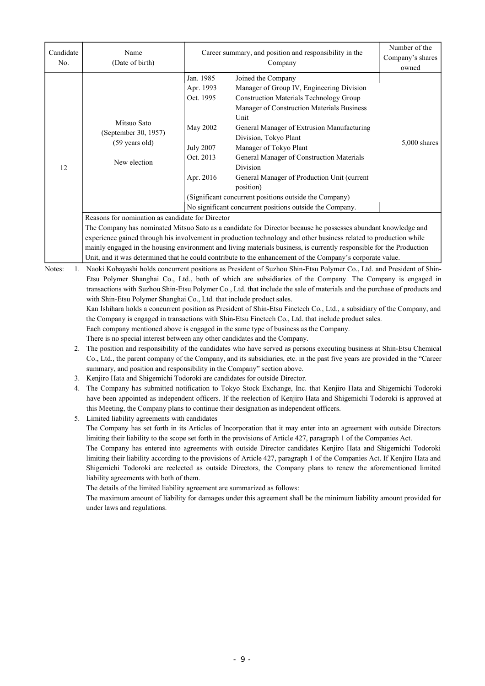| Candidate<br>No.      | Name<br>(Date of birth)                                                                                                                                                                                | Career summary, and position and responsibility in the                    | Number of the<br>Company's shares<br>owned                                                                                                                              |              |  |  |  |
|-----------------------|--------------------------------------------------------------------------------------------------------------------------------------------------------------------------------------------------------|---------------------------------------------------------------------------|-------------------------------------------------------------------------------------------------------------------------------------------------------------------------|--------------|--|--|--|
|                       |                                                                                                                                                                                                        | Jan. 1985<br>Apr. 1993<br>Oct. 1995                                       | Joined the Company<br>Manager of Group IV, Engineering Division<br><b>Construction Materials Technology Group</b><br>Manager of Construction Materials Business<br>Unit |              |  |  |  |
|                       | Mitsuo Sato<br>(September 30, 1957)<br>(59 years old)                                                                                                                                                  | May 2002                                                                  | General Manager of Extrusion Manufacturing<br>Division, Tokyo Plant                                                                                                     | 5,000 shares |  |  |  |
| 12                    | New election                                                                                                                                                                                           | <b>July 2007</b><br>Oct. 2013                                             | Manager of Tokyo Plant<br>General Manager of Construction Materials<br>Division                                                                                         |              |  |  |  |
|                       |                                                                                                                                                                                                        | Apr. 2016                                                                 | General Manager of Production Unit (current<br>position)                                                                                                                |              |  |  |  |
|                       |                                                                                                                                                                                                        |                                                                           | (Significant concurrent positions outside the Company)<br>No significant concurrent positions outside the Company.                                                      |              |  |  |  |
|                       | Reasons for nomination as candidate for Director                                                                                                                                                       |                                                                           |                                                                                                                                                                         |              |  |  |  |
|                       | The Company has nominated Mitsuo Sato as a candidate for Director because he possesses abundant knowledge and                                                                                          |                                                                           |                                                                                                                                                                         |              |  |  |  |
|                       | experience gained through his involvement in production technology and other business related to production while                                                                                      |                                                                           |                                                                                                                                                                         |              |  |  |  |
|                       | mainly engaged in the housing environment and living materials business, is currently responsible for the Production                                                                                   |                                                                           |                                                                                                                                                                         |              |  |  |  |
|                       |                                                                                                                                                                                                        |                                                                           | Unit, and it was determined that he could contribute to the enhancement of the Company's corporate value.                                                               |              |  |  |  |
| Notes:<br>$1_{\cdot}$ |                                                                                                                                                                                                        |                                                                           | Naoki Kobayashi holds concurrent positions as President of Suzhou Shin-Etsu Polymer Co., Ltd. and President of Shin-                                                    |              |  |  |  |
|                       |                                                                                                                                                                                                        |                                                                           | Etsu Polymer Shanghai Co., Ltd., both of which are subsidiaries of the Company. The Company is engaged in                                                               |              |  |  |  |
|                       | transactions with Suzhou Shin-Etsu Polymer Co., Ltd. that include the sale of materials and the purchase of products and                                                                               |                                                                           |                                                                                                                                                                         |              |  |  |  |
|                       | with Shin-Etsu Polymer Shanghai Co., Ltd. that include product sales.                                                                                                                                  |                                                                           |                                                                                                                                                                         |              |  |  |  |
|                       | Kan Ishihara holds a concurrent position as President of Shin-Etsu Finetech Co., Ltd., a subsidiary of the Company, and                                                                                |                                                                           |                                                                                                                                                                         |              |  |  |  |
|                       | the Company is engaged in transactions with Shin-Etsu Finetech Co., Ltd. that include product sales.                                                                                                   |                                                                           |                                                                                                                                                                         |              |  |  |  |
|                       | Each company mentioned above is engaged in the same type of business as the Company.                                                                                                                   |                                                                           |                                                                                                                                                                         |              |  |  |  |
| 2.                    | There is no special interest between any other candidates and the Company.                                                                                                                             |                                                                           |                                                                                                                                                                         |              |  |  |  |
|                       | The position and responsibility of the candidates who have served as persons executing business at Shin-Etsu Chemical                                                                                  |                                                                           |                                                                                                                                                                         |              |  |  |  |
|                       | Co., Ltd., the parent company of the Company, and its subsidiaries, etc. in the past five years are provided in the "Career<br>summary, and position and responsibility in the Company" section above. |                                                                           |                                                                                                                                                                         |              |  |  |  |
| 3.                    |                                                                                                                                                                                                        | Kenjiro Hata and Shigemichi Todoroki are candidates for outside Director. |                                                                                                                                                                         |              |  |  |  |
| 4.                    |                                                                                                                                                                                                        |                                                                           | The Company has submitted notification to Tokyo Stock Exchange, Inc. that Kenjiro Hata and Shigemichi Todoroki                                                          |              |  |  |  |
|                       | have been appointed as independent officers. If the reelection of Kenjiro Hata and Shigemichi Todoroki is approved at                                                                                  |                                                                           |                                                                                                                                                                         |              |  |  |  |
|                       | this Meeting, the Company plans to continue their designation as independent officers.                                                                                                                 |                                                                           |                                                                                                                                                                         |              |  |  |  |

5. Limited liability agreements with candidates

The Company has set forth in its Articles of Incorporation that it may enter into an agreement with outside Directors limiting their liability to the scope set forth in the provisions of Article 427, paragraph 1 of the Companies Act.

The Company has entered into agreements with outside Director candidates Kenjiro Hata and Shigemichi Todoroki limiting their liability according to the provisions of Article 427, paragraph 1 of the Companies Act. If Kenjiro Hata and Shigemichi Todoroki are reelected as outside Directors, the Company plans to renew the aforementioned limited liability agreements with both of them.

The details of the limited liability agreement are summarized as follows:

The maximum amount of liability for damages under this agreement shall be the minimum liability amount provided for under laws and regulations.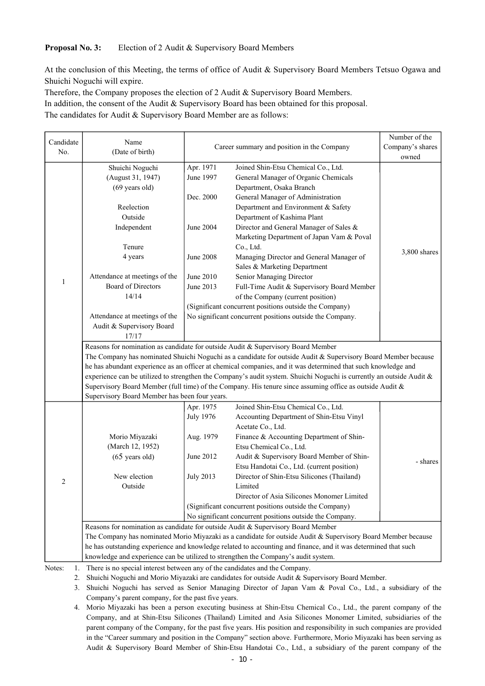### **Proposal No. 3:** Election of 2 Audit & Supervisory Board Members

At the conclusion of this Meeting, the terms of office of Audit & Supervisory Board Members Tetsuo Ogawa and Shuichi Noguchi will expire.

Therefore, the Company proposes the election of 2 Audit & Supervisory Board Members. In addition, the consent of the Audit & Supervisory Board has been obtained for this proposal. The candidates for Audit & Supervisory Board Member are as follows:

| Candidate    | Name                                                                                                                    |                                                          |                                                                                                                | Number of the |  |  |  |
|--------------|-------------------------------------------------------------------------------------------------------------------------|----------------------------------------------------------|----------------------------------------------------------------------------------------------------------------|---------------|--|--|--|
| No.          | (Date of birth)                                                                                                         | Career summary and position in the Company               | Company's shares                                                                                               |               |  |  |  |
|              |                                                                                                                         |                                                          |                                                                                                                | owned         |  |  |  |
|              | Shuichi Noguchi                                                                                                         | Apr. 1971                                                | Joined Shin-Etsu Chemical Co., Ltd.                                                                            |               |  |  |  |
|              | (August 31, 1947)                                                                                                       | June 1997                                                | General Manager of Organic Chemicals                                                                           |               |  |  |  |
|              | $(69 \text{ years old})$                                                                                                |                                                          | Department, Osaka Branch                                                                                       |               |  |  |  |
|              |                                                                                                                         | Dec. 2000                                                | General Manager of Administration                                                                              |               |  |  |  |
|              | Reelection                                                                                                              |                                                          | Department and Environment & Safety                                                                            |               |  |  |  |
|              | Outside                                                                                                                 |                                                          | Department of Kashima Plant                                                                                    |               |  |  |  |
|              | Independent                                                                                                             | June 2004                                                | Director and General Manager of Sales &                                                                        |               |  |  |  |
|              |                                                                                                                         |                                                          | Marketing Department of Japan Vam & Poval                                                                      |               |  |  |  |
|              | Tenure                                                                                                                  |                                                          | Co., Ltd.                                                                                                      |               |  |  |  |
|              | 4 years                                                                                                                 | <b>June 2008</b>                                         | Managing Director and General Manager of                                                                       | 3,800 shares  |  |  |  |
|              |                                                                                                                         |                                                          | Sales & Marketing Department                                                                                   |               |  |  |  |
|              | Attendance at meetings of the                                                                                           | June 2010                                                | Senior Managing Director                                                                                       |               |  |  |  |
| 1            | <b>Board of Directors</b>                                                                                               | June 2013                                                | Full-Time Audit & Supervisory Board Member                                                                     |               |  |  |  |
|              | 14/14                                                                                                                   |                                                          | of the Company (current position)                                                                              |               |  |  |  |
|              |                                                                                                                         |                                                          | (Significant concurrent positions outside the Company)                                                         |               |  |  |  |
|              | Attendance at meetings of the                                                                                           | No significant concurrent positions outside the Company. |                                                                                                                |               |  |  |  |
|              | Audit & Supervisory Board                                                                                               |                                                          |                                                                                                                |               |  |  |  |
|              | 17/17                                                                                                                   |                                                          |                                                                                                                |               |  |  |  |
|              | Reasons for nomination as candidate for outside Audit & Supervisory Board Member                                        |                                                          |                                                                                                                |               |  |  |  |
|              | The Company has nominated Shuichi Noguchi as a candidate for outside Audit & Supervisory Board Member because           |                                                          |                                                                                                                |               |  |  |  |
|              | he has abundant experience as an officer at chemical companies, and it was determined that such knowledge and           |                                                          |                                                                                                                |               |  |  |  |
|              | experience can be utilized to strengthen the Company's audit system. Shuichi Noguchi is currently an outside Audit $\&$ |                                                          |                                                                                                                |               |  |  |  |
|              | Supervisory Board Member (full time) of the Company. His tenure since assuming office as outside Audit $\&$             |                                                          |                                                                                                                |               |  |  |  |
|              | Supervisory Board Member has been four years.                                                                           |                                                          |                                                                                                                |               |  |  |  |
|              |                                                                                                                         | Apr. 1975                                                | Joined Shin-Etsu Chemical Co., Ltd.                                                                            |               |  |  |  |
|              |                                                                                                                         | <b>July 1976</b>                                         | Accounting Department of Shin-Etsu Vinyl                                                                       |               |  |  |  |
|              |                                                                                                                         |                                                          | Acetate Co., Ltd.                                                                                              |               |  |  |  |
|              | Morio Miyazaki                                                                                                          | Aug. 1979                                                | Finance & Accounting Department of Shin-                                                                       |               |  |  |  |
|              | (March 12, 1952)                                                                                                        |                                                          | Etsu Chemical Co., Ltd.                                                                                        |               |  |  |  |
|              | $(65 \text{ years old})$                                                                                                | June 2012                                                | Audit & Supervisory Board Member of Shin-                                                                      |               |  |  |  |
|              |                                                                                                                         |                                                          | Etsu Handotai Co., Ltd. (current position)                                                                     | - shares      |  |  |  |
|              | New election                                                                                                            | <b>July 2013</b>                                         | Director of Shin-Etsu Silicones (Thailand)                                                                     |               |  |  |  |
| 2            | Outside                                                                                                                 |                                                          | Limited                                                                                                        |               |  |  |  |
|              |                                                                                                                         |                                                          | Director of Asia Silicones Monomer Limited                                                                     |               |  |  |  |
|              |                                                                                                                         |                                                          | (Significant concurrent positions outside the Company)                                                         |               |  |  |  |
|              |                                                                                                                         |                                                          | No significant concurrent positions outside the Company.                                                       |               |  |  |  |
|              |                                                                                                                         |                                                          | Reasons for nomination as candidate for outside Audit & Supervisory Board Member                               |               |  |  |  |
|              |                                                                                                                         |                                                          | The Company has nominated Morio Miyazaki as a candidate for outside Audit & Supervisory Board Member because   |               |  |  |  |
|              |                                                                                                                         |                                                          | he has outstanding experience and knowledge related to accounting and finance, and it was determined that such |               |  |  |  |
|              |                                                                                                                         |                                                          | knowledge and experience can be utilized to strengthen the Company's audit system.                             |               |  |  |  |
| Notes:<br>1. | There is no special interest between any of the candidates and the Company.                                             |                                                          |                                                                                                                |               |  |  |  |
|              | Shuichi Noguchi and Morio Miyazaki are candidates for outside Audit & Supervisory Board Member.<br>2.                   |                                                          |                                                                                                                |               |  |  |  |

3. Shuichi Noguchi has served as Senior Managing Director of Japan Vam & Poval Co., Ltd., a subsidiary of the Company's parent company, for the past five years.

4. Morio Miyazaki has been a person executing business at Shin-Etsu Chemical Co., Ltd., the parent company of the Company, and at Shin-Etsu Silicones (Thailand) Limited and Asia Silicones Monomer Limited, subsidiaries of the parent company of the Company, for the past five years. His position and responsibility in such companies are provided in the "Career summary and position in the Company" section above. Furthermore, Morio Miyazaki has been serving as Audit & Supervisory Board Member of Shin-Etsu Handotai Co., Ltd., a subsidiary of the parent company of the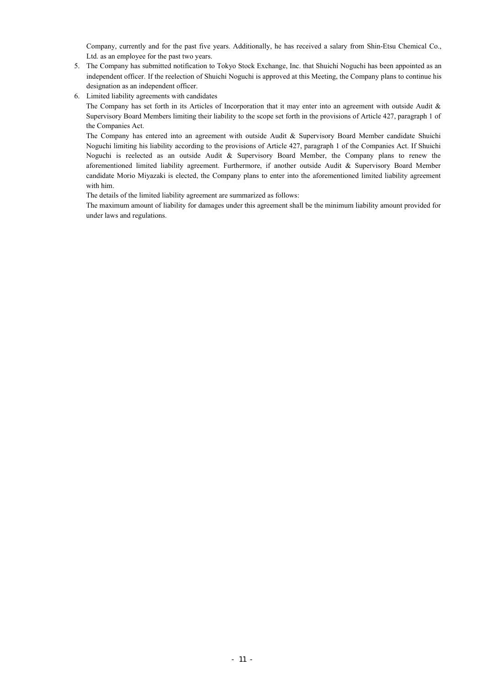Company, currently and for the past five years. Additionally, he has received a salary from Shin-Etsu Chemical Co., Ltd. as an employee for the past two years.

- 5. The Company has submitted notification to Tokyo Stock Exchange, Inc. that Shuichi Noguchi has been appointed as an independent officer. If the reelection of Shuichi Noguchi is approved at this Meeting, the Company plans to continue his designation as an independent officer.
- 6. Limited liability agreements with candidates

The Company has set forth in its Articles of Incorporation that it may enter into an agreement with outside Audit  $\&$ Supervisory Board Members limiting their liability to the scope set forth in the provisions of Article 427, paragraph 1 of the Companies Act.

The Company has entered into an agreement with outside Audit & Supervisory Board Member candidate Shuichi Noguchi limiting his liability according to the provisions of Article 427, paragraph 1 of the Companies Act. If Shuichi Noguchi is reelected as an outside Audit & Supervisory Board Member, the Company plans to renew the aforementioned limited liability agreement. Furthermore, if another outside Audit & Supervisory Board Member candidate Morio Miyazaki is elected, the Company plans to enter into the aforementioned limited liability agreement with him.

The details of the limited liability agreement are summarized as follows:

The maximum amount of liability for damages under this agreement shall be the minimum liability amount provided for under laws and regulations.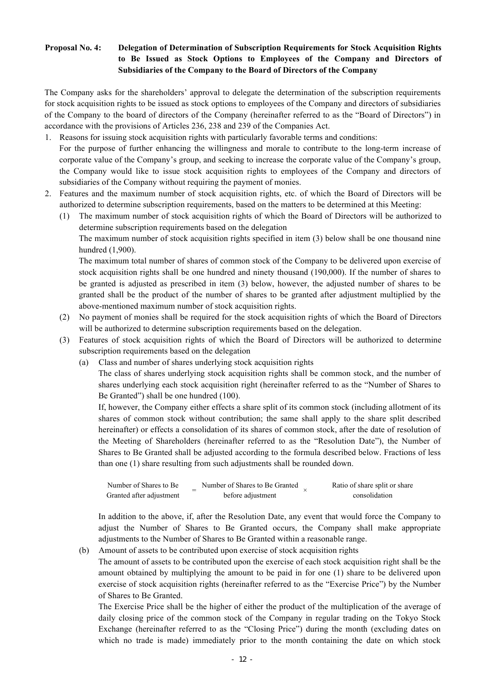## **Proposal No. 4: Delegation of Determination of Subscription Requirements for Stock Acquisition Rights to Be Issued as Stock Options to Employees of the Company and Directors of Subsidiaries of the Company to the Board of Directors of the Company**

The Company asks for the shareholders' approval to delegate the determination of the subscription requirements for stock acquisition rights to be issued as stock options to employees of the Company and directors of subsidiaries of the Company to the board of directors of the Company (hereinafter referred to as the "Board of Directors") in accordance with the provisions of Articles 236, 238 and 239 of the Companies Act.

- 1. Reasons for issuing stock acquisition rights with particularly favorable terms and conditions: For the purpose of further enhancing the willingness and morale to contribute to the long-term increase of corporate value of the Company's group, and seeking to increase the corporate value of the Company's group, the Company would like to issue stock acquisition rights to employees of the Company and directors of subsidiaries of the Company without requiring the payment of monies.
- 2. Features and the maximum number of stock acquisition rights, etc. of which the Board of Directors will be authorized to determine subscription requirements, based on the matters to be determined at this Meeting:

(1) The maximum number of stock acquisition rights of which the Board of Directors will be authorized to determine subscription requirements based on the delegation

The maximum number of stock acquisition rights specified in item (3) below shall be one thousand nine hundred (1,900).

The maximum total number of shares of common stock of the Company to be delivered upon exercise of stock acquisition rights shall be one hundred and ninety thousand (190,000). If the number of shares to be granted is adjusted as prescribed in item (3) below, however, the adjusted number of shares to be granted shall be the product of the number of shares to be granted after adjustment multiplied by the above-mentioned maximum number of stock acquisition rights.

- (2) No payment of monies shall be required for the stock acquisition rights of which the Board of Directors will be authorized to determine subscription requirements based on the delegation.
- (3) Features of stock acquisition rights of which the Board of Directors will be authorized to determine subscription requirements based on the delegation
	- (a) Class and number of shares underlying stock acquisition rights

The class of shares underlying stock acquisition rights shall be common stock, and the number of shares underlying each stock acquisition right (hereinafter referred to as the "Number of Shares to Be Granted") shall be one hundred (100).

If, however, the Company either effects a share split of its common stock (including allotment of its shares of common stock without contribution; the same shall apply to the share split described hereinafter) or effects a consolidation of its shares of common stock, after the date of resolution of the Meeting of Shareholders (hereinafter referred to as the "Resolution Date"), the Number of Shares to Be Granted shall be adjusted according to the formula described below. Fractions of less than one (1) share resulting from such adjustments shall be rounded down.

| Number of Shares to Be   | Number of Shares to Be Granted | Ratio of share split or share |
|--------------------------|--------------------------------|-------------------------------|
| Granted after adjustment | before adjustment              | consolidation                 |

In addition to the above, if, after the Resolution Date, any event that would force the Company to adjust the Number of Shares to Be Granted occurs, the Company shall make appropriate adjustments to the Number of Shares to Be Granted within a reasonable range.

(b) Amount of assets to be contributed upon exercise of stock acquisition rights

The amount of assets to be contributed upon the exercise of each stock acquisition right shall be the amount obtained by multiplying the amount to be paid in for one (1) share to be delivered upon exercise of stock acquisition rights (hereinafter referred to as the "Exercise Price") by the Number of Shares to Be Granted.

The Exercise Price shall be the higher of either the product of the multiplication of the average of daily closing price of the common stock of the Company in regular trading on the Tokyo Stock Exchange (hereinafter referred to as the "Closing Price") during the month (excluding dates on which no trade is made) immediately prior to the month containing the date on which stock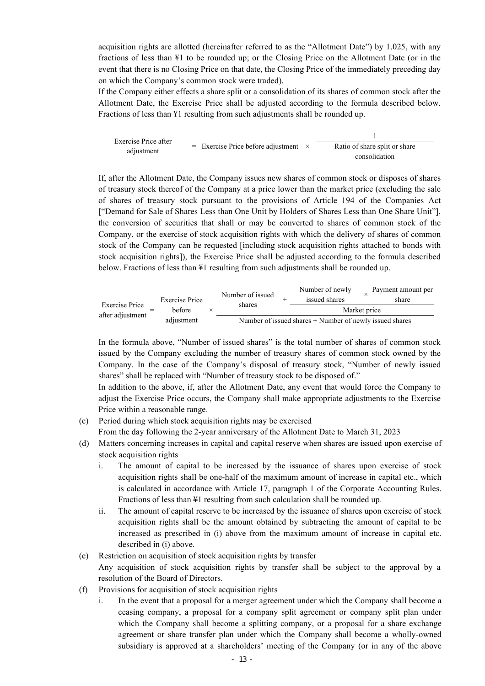acquisition rights are allotted (hereinafter referred to as the "Allotment Date") by 1.025, with any fractions of less than ¥1 to be rounded up; or the Closing Price on the Allotment Date (or in the event that there is no Closing Price on that date, the Closing Price of the immediately preceding day on which the Company's common stock were traded).

If the Company either effects a share split or a consolidation of its shares of common stock after the Allotment Date, the Exercise Price shall be adjusted according to the formula described below. Fractions of less than ¥1 resulting from such adjustments shall be rounded up.



If, after the Allotment Date, the Company issues new shares of common stock or disposes of shares of treasury stock thereof of the Company at a price lower than the market price (excluding the sale of shares of treasury stock pursuant to the provisions of Article 194 of the Companies Act ["Demand for Sale of Shares Less than One Unit by Holders of Shares Less than One Share Unit"], the conversion of securities that shall or may be converted to shares of common stock of the Company, or the exercise of stock acquisition rights with which the delivery of shares of common stock of the Company can be requested [including stock acquisition rights attached to bonds with stock acquisition rights]), the Exercise Price shall be adjusted according to the formula described below. Fractions of less than ¥1 resulting from such adjustments shall be rounded up.

|                       |                                 |  | Number of issued |                                                           | Number of newly | Payment amount per |  |
|-----------------------|---------------------------------|--|------------------|-----------------------------------------------------------|-----------------|--------------------|--|
| <b>Exercise Price</b> | <b>Exercise Price</b><br>before |  | shares           |                                                           | issued shares   | share              |  |
| after adjustment      |                                 |  |                  |                                                           |                 | Market price       |  |
|                       | adjustment                      |  |                  | Number of issued shares $+$ Number of newly issued shares |                 |                    |  |

In the formula above, "Number of issued shares" is the total number of shares of common stock issued by the Company excluding the number of treasury shares of common stock owned by the Company. In the case of the Company's disposal of treasury stock, "Number of newly issued shares" shall be replaced with "Number of treasury stock to be disposed of."

In addition to the above, if, after the Allotment Date, any event that would force the Company to adjust the Exercise Price occurs, the Company shall make appropriate adjustments to the Exercise Price within a reasonable range.

(c) Period during which stock acquisition rights may be exercised

From the day following the 2-year anniversary of the Allotment Date to March 31, 2023

- (d) Matters concerning increases in capital and capital reserve when shares are issued upon exercise of stock acquisition rights
	- i. The amount of capital to be increased by the issuance of shares upon exercise of stock acquisition rights shall be one-half of the maximum amount of increase in capital etc., which is calculated in accordance with Article 17, paragraph 1 of the Corporate Accounting Rules. Fractions of less than ¥1 resulting from such calculation shall be rounded up.
	- ii. The amount of capital reserve to be increased by the issuance of shares upon exercise of stock acquisition rights shall be the amount obtained by subtracting the amount of capital to be increased as prescribed in (i) above from the maximum amount of increase in capital etc. described in (i) above.
- (e) Restriction on acquisition of stock acquisition rights by transfer
	- Any acquisition of stock acquisition rights by transfer shall be subject to the approval by a resolution of the Board of Directors.
- (f) Provisions for acquisition of stock acquisition rights
	- i. In the event that a proposal for a merger agreement under which the Company shall become a ceasing company, a proposal for a company split agreement or company split plan under which the Company shall become a splitting company, or a proposal for a share exchange agreement or share transfer plan under which the Company shall become a wholly-owned subsidiary is approved at a shareholders' meeting of the Company (or in any of the above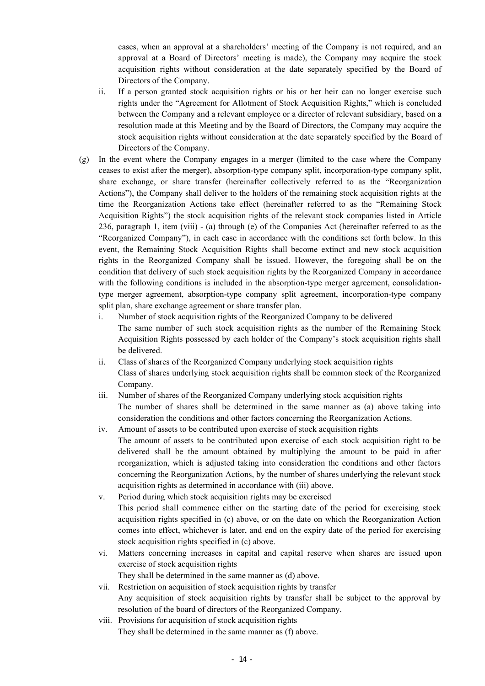cases, when an approval at a shareholders' meeting of the Company is not required, and an approval at a Board of Directors' meeting is made), the Company may acquire the stock acquisition rights without consideration at the date separately specified by the Board of Directors of the Company.

- ii. If a person granted stock acquisition rights or his or her heir can no longer exercise such rights under the "Agreement for Allotment of Stock Acquisition Rights," which is concluded between the Company and a relevant employee or a director of relevant subsidiary, based on a resolution made at this Meeting and by the Board of Directors, the Company may acquire the stock acquisition rights without consideration at the date separately specified by the Board of Directors of the Company.
- (g) In the event where the Company engages in a merger (limited to the case where the Company ceases to exist after the merger), absorption-type company split, incorporation-type company split, share exchange, or share transfer (hereinafter collectively referred to as the "Reorganization Actions"), the Company shall deliver to the holders of the remaining stock acquisition rights at the time the Reorganization Actions take effect (hereinafter referred to as the "Remaining Stock Acquisition Rights") the stock acquisition rights of the relevant stock companies listed in Article 236, paragraph 1, item (viii) - (a) through (e) of the Companies Act (hereinafter referred to as the "Reorganized Company"), in each case in accordance with the conditions set forth below. In this event, the Remaining Stock Acquisition Rights shall become extinct and new stock acquisition rights in the Reorganized Company shall be issued. However, the foregoing shall be on the condition that delivery of such stock acquisition rights by the Reorganized Company in accordance with the following conditions is included in the absorption-type merger agreement, consolidationtype merger agreement, absorption-type company split agreement, incorporation-type company split plan, share exchange agreement or share transfer plan.
	- i. Number of stock acquisition rights of the Reorganized Company to be delivered The same number of such stock acquisition rights as the number of the Remaining Stock Acquisition Rights possessed by each holder of the Company's stock acquisition rights shall be delivered.
	- ii. Class of shares of the Reorganized Company underlying stock acquisition rights Class of shares underlying stock acquisition rights shall be common stock of the Reorganized Company.
	- iii. Number of shares of the Reorganized Company underlying stock acquisition rights The number of shares shall be determined in the same manner as (a) above taking into consideration the conditions and other factors concerning the Reorganization Actions.
	- iv. Amount of assets to be contributed upon exercise of stock acquisition rights The amount of assets to be contributed upon exercise of each stock acquisition right to be delivered shall be the amount obtained by multiplying the amount to be paid in after reorganization, which is adjusted taking into consideration the conditions and other factors concerning the Reorganization Actions, by the number of shares underlying the relevant stock acquisition rights as determined in accordance with (iii) above.
	- v. Period during which stock acquisition rights may be exercised This period shall commence either on the starting date of the period for exercising stock acquisition rights specified in (c) above, or on the date on which the Reorganization Action comes into effect, whichever is later, and end on the expiry date of the period for exercising stock acquisition rights specified in (c) above.
	- vi. Matters concerning increases in capital and capital reserve when shares are issued upon exercise of stock acquisition rights

They shall be determined in the same manner as (d) above.

- vii. Restriction on acquisition of stock acquisition rights by transfer Any acquisition of stock acquisition rights by transfer shall be subject to the approval by resolution of the board of directors of the Reorganized Company.
- viii. Provisions for acquisition of stock acquisition rights They shall be determined in the same manner as (f) above.